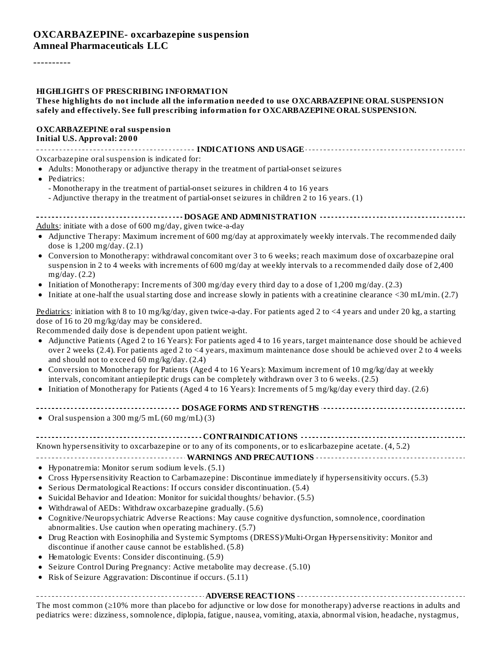----------

#### **HIGHLIGHTS OF PRESCRIBING INFORMATION**

#### **These highlights do not include all the information needed to use OXCARBAZEPINE ORAL SUSPENSION safely and effectively. See full prescribing information for OXCARBAZEPINE ORAL SUSPENSION.**

#### **OXCARBAZEPINE oral suspension Initial U.S. Approval: 2000**

**INDICATIONS AND USAGE**

Oxcarbazepine oral suspension is indicated for:

- Adults: Monotherapy or adjunctive therapy in the treatment of partial-onset seizures
- Pediatrics:
	- Monotherapy in the treatment of partial-onset seizures in children 4 to 16 years
	- Adjunctive therapy in the treatment of partial-onset seizures in children 2 to 16 years. (1)

|--|--|--|

Adults: initiate with a dose of 600 mg/day, given twice-a-day

- Adjunctive Therapy: Maximum increment of 600 mg/day at approximately weekly intervals. The recommended daily dose is 1,200 mg/day. (2.1)
- Conversion to Monotherapy: withdrawal concomitant over 3 to 6 weeks; reach maximum dose of oxcarbazepine oral suspension in 2 to 4 weeks with increments of 600 mg/day at weekly intervals to a recommended daily dose of 2,400 mg/day. (2.2)
- Initiation of Monotherapy: Increments of 300 mg/day every third day to a dose of 1,200 mg/day. (2.3)
- Initiate at one-half the usualstarting dose and increase slowly in patients with a creatinine clearance <30 mL/min. (2.7)

Pediatrics: initiation with 8 to 10 mg/kg/day, given twice-a-day. For patients aged 2 to <4 years and under 20 kg, a starting dose of 16 to 20 mg/kg/day may be considered.

Recommended daily dose is dependent upon patient weight.

- Adjunctive Patients (Aged 2 to 16 Years): For patients aged 4 to 16 years, target maintenance dose should be achieved over 2 weeks (2.4). For patients aged 2 to <4 years, maximum maintenance dose should be achieved over 2 to 4 weeks and should not to exceed 60 mg/kg/day. (2.4)
- Conversion to Monotherapy for Patients (Aged 4 to 16 Years): Maximum increment of 10 mg/kg/day at weekly  $\bullet$ intervals, concomitant antiepileptic drugs can be completely withdrawn over 3 to 6 weeks. (2.5)
- Initiation of Monotherapy for Patients (Aged 4 to 16 Years): Increments of 5 mg/kg/day every third day. (2.6)
- **DOSAGE FORMS AND STRENGTHS**
- $\bullet$  Oral suspension a 300 mg/5 mL (60 mg/mL) (3)

| Known hypersensitivity to oxcarbazepine or to any of its components, or to eslicarbazepine acetate. (4, 5.2) |
|--------------------------------------------------------------------------------------------------------------|

### **WARNINGS AND PRECAUTIONS**

- Hyponatremia: Monitor serum sodium levels. (5.1)
- Cross Hypersensitivity Reaction to Carbamazepine: Discontinue immediately if hypersensitivity occurs. (5.3)
- Serious Dermatological Reactions: If occurs consider discontinuation. (5.4)
- Suicidal Behavior and Ideation: Monitor for suicidal thoughts/ behavior. (5.5)
- Withdrawal of AEDs: Withdraw oxcarbazepine gradually. (5.6)
- Cognitive/Neuropsychiatric Adverse Reactions: May cause cognitive dysfunction, somnolence, coordination  $\bullet$ abnormalities. Use caution when operating machinery. (5.7)
- Drug Reaction with Eosinophilia and Systemic Symptoms (DRESS)/Multi-Organ Hypersensitivity: Monitor and  $\bullet$ discontinue if another cause cannot be established. (5.8)
- Hematologic Events: Consider discontinuing. (5.9)
- Seizure Control During Pregnancy: Active metabolite may decrease. (5.10)
- Risk of Seizure Aggravation: Discontinue if occurs. (5.11)  $\bullet$

# **ADVERSE REACTIONS**

The most common (≥10% more than placebo for adjunctive or low dose for monotherapy) adverse reactions in adults and pediatrics were: dizziness, somnolence, diplopia, fatigue, nausea, vomiting, ataxia, abnormal vision, headache, nystagmus,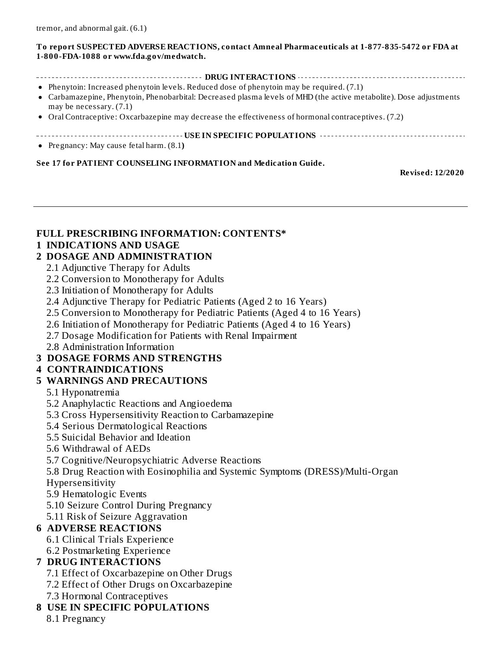#### **To report SUSPECTED ADVERSE REACTIONS, contact Amneal Pharmaceuticals at 1-877-835-5472 or FDA at 1-800-FDA-1088 or www.fda.gov/medwatch.**

- **DRUG INTERACTIONS**
- Phenytoin: Increased phenytoin levels. Reduced dose of phenytoin may be required. (7.1)
- Carbamazepine, Phenytoin, Phenobarbital: Decreased plasma levels of MHD (the active metabolite). Dose adjustments may be necessary. (7.1)
- Oral Contraceptive: Oxcarbazepine may decrease the effectiveness of hormonal contraceptives. (7.2)
- **USE IN SPECIFIC POPULATIONS**

Pregnancy: May cause fetal harm. (8.1**)**

#### **See 17 for PATIENT COUNSELING INFORMATION and Medication Guide.**

**Revised: 12/2020**

### **FULL PRESCRIBING INFORMATION: CONTENTS\***

### **1 INDICATIONS AND USAGE**

### **2 DOSAGE AND ADMINISTRATION**

- 2.1 Adjunctive Therapy for Adults
- 2.2 Conversion to Monotherapy for Adults
- 2.3 Initiation of Monotherapy for Adults
- 2.4 Adjunctive Therapy for Pediatric Patients (Aged 2 to 16 Years)
- 2.5 Conversion to Monotherapy for Pediatric Patients (Aged 4 to 16 Years)
- 2.6 Initiation of Monotherapy for Pediatric Patients (Aged 4 to 16 Years)
- 2.7 Dosage Modification for Patients with Renal Impairment
- 2.8 Administration Information

### **3 DOSAGE FORMS AND STRENGTHS**

### **4 CONTRAINDICATIONS**

### **5 WARNINGS AND PRECAUTIONS**

- 5.1 Hyponatremia
- 5.2 Anaphylactic Reactions and Angioedema
- 5.3 Cross Hypersensitivity Reaction to Carbamazepine
- 5.4 Serious Dermatological Reactions
- 5.5 Suicidal Behavior and Ideation
- 5.6 Withdrawal of AEDs
- 5.7 Cognitive/Neuropsychiatric Adverse Reactions
- 5.8 Drug Reaction with Eosinophilia and Systemic Symptoms (DRESS)/Multi-Organ

Hypersensitivity

- 5.9 Hematologic Events
- 5.10 Seizure Control During Pregnancy
- 5.11 Risk of Seizure Aggravation

### **6 ADVERSE REACTIONS**

- 6.1 Clinical Trials Experience
- 6.2 Postmarketing Experience

### **7 DRUG INTERACTIONS**

- 7.1 Effect of Oxcarbazepine on Other Drugs
- 7.2 Effect of Other Drugs on Oxcarbazepine
- 7.3 Hormonal Contraceptives

### **8 USE IN SPECIFIC POPULATIONS**

8.1 Pregnancy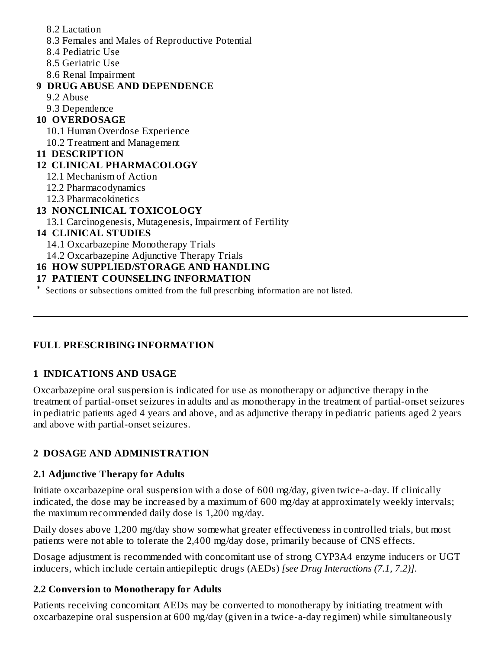- 8.2 Lactation
- 8.3 Females and Males of Reproductive Potential
- 8.4 Pediatric Use
- 8.5 Geriatric Use
- 8.6 Renal Impairment

### **9 DRUG ABUSE AND DEPENDENCE**

- 9.2 Abuse
- 9.3 Dependence

# **10 OVERDOSAGE**

- 10.1 Human Overdose Experience
- 10.2 Treatment and Management

## **11 DESCRIPTION**

# **12 CLINICAL PHARMACOLOGY**

- 12.1 Mechanism of Action
- 12.2 Pharmacodynamics
- 12.3 Pharmacokinetics

# **13 NONCLINICAL TOXICOLOGY**

13.1 Carcinogenesis, Mutagenesis, Impairment of Fertility

## **14 CLINICAL STUDIES**

- 14.1 Oxcarbazepine Monotherapy Trials
- 14.2 Oxcarbazepine Adjunctive Therapy Trials

# **16 HOW SUPPLIED/STORAGE AND HANDLING**

# **17 PATIENT COUNSELING INFORMATION**

\* Sections or subsections omitted from the full prescribing information are not listed.

# **FULL PRESCRIBING INFORMATION**

# **1 INDICATIONS AND USAGE**

Oxcarbazepine oral suspension is indicated for use as monotherapy or adjunctive therapy in the treatment of partial-onset seizures in adults and as monotherapy in the treatment of partial-onset seizures in pediatric patients aged 4 years and above, and as adjunctive therapy in pediatric patients aged 2 years and above with partial-onset seizures.

# **2 DOSAGE AND ADMINISTRATION**

# **2.1 Adjunctive Therapy for Adults**

Initiate oxcarbazepine oral suspension with a dose of 600 mg/day, given twice-a-day. If clinically indicated, the dose may be increased by a maximum of 600 mg/day at approximately weekly intervals; the maximum recommended daily dose is 1,200 mg/day.

Daily doses above 1,200 mg/day show somewhat greater effectiveness in controlled trials, but most patients were not able to tolerate the 2,400 mg/day dose, primarily because of CNS effects.

Dosage adjustment is recommended with concomitant use of strong CYP3A4 enzyme inducers or UGT inducers, which include certain antiepileptic drugs (AEDs) *[see Drug Interactions (7.1, 7.2)]*.

## **2.2 Conversion to Monotherapy for Adults**

Patients receiving concomitant AEDs may be converted to monotherapy by initiating treatment with oxcarbazepine oral suspension at 600 mg/day (given in a twice-a-day regimen) while simultaneously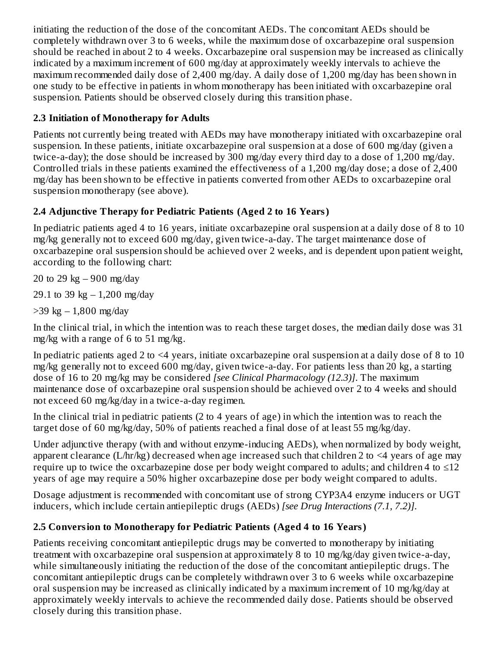initiating the reduction of the dose of the concomitant AEDs. The concomitant AEDs should be completely withdrawn over 3 to 6 weeks, while the maximum dose of oxcarbazepine oral suspension should be reached in about 2 to 4 weeks. Oxcarbazepine oral suspension may be increased as clinically indicated by a maximum increment of 600 mg/day at approximately weekly intervals to achieve the maximum recommended daily dose of 2,400 mg/day. A daily dose of 1,200 mg/day has been shown in one study to be effective in patients in whom monotherapy has been initiated with oxcarbazepine oral suspension. Patients should be observed closely during this transition phase.

# **2.3 Initiation of Monotherapy for Adults**

Patients not currently being treated with AEDs may have monotherapy initiated with oxcarbazepine oral suspension. In these patients, initiate oxcarbazepine oral suspension at a dose of 600 mg/day (given a twice-a-day); the dose should be increased by 300 mg/day every third day to a dose of 1,200 mg/day. Controlled trials in these patients examined the effectiveness of a 1,200 mg/day dose; a dose of 2,400 mg/day has been shown to be effective in patients converted from other AEDs to oxcarbazepine oral suspension monotherapy (see above).

# **2.4 Adjunctive Therapy for Pediatric Patients (Aged 2 to 16 Years)**

In pediatric patients aged 4 to 16 years, initiate oxcarbazepine oral suspension at a daily dose of 8 to 10 mg/kg generally not to exceed 600 mg/day, given twice-a-day. The target maintenance dose of oxcarbazepine oral suspension should be achieved over 2 weeks, and is dependent upon patient weight, according to the following chart:

20 to 29 kg  $-900$  mg/day

29.1 to 39 kg  $- 1,200$  mg/day

 $>$ 39 kg  $-1,800$  mg/day

In the clinical trial, in which the intention was to reach these target doses, the median daily dose was 31 mg/kg with a range of 6 to 51 mg/kg.

In pediatric patients aged 2 to  $\leq 4$  years, initiate oxcarbazepine oral suspension at a daily dose of 8 to 10 mg/kg generally not to exceed 600 mg/day, given twice-a-day. For patients less than 20 kg, a starting dose of 16 to 20 mg/kg may be considered *[see Clinical Pharmacology (12.3)]*. The maximum maintenance dose of oxcarbazepine oral suspension should be achieved over 2 to 4 weeks and should not exceed 60 mg/kg/day in a twice-a-day regimen.

In the clinical trial in pediatric patients (2 to 4 years of age) in which the intention was to reach the target dose of 60 mg/kg/day, 50% of patients reached a final dose of at least 55 mg/kg/day.

Under adjunctive therapy (with and without enzyme-inducing AEDs), when normalized by body weight, apparent clearance (L/hr/kg) decreased when age increased such that children 2 to  $\leq 4$  years of age may require up to twice the oxcarbazepine dose per body weight compared to adults; and children 4 to ≤12 years of age may require a 50% higher oxcarbazepine dose per body weight compared to adults.

Dosage adjustment is recommended with concomitant use of strong CYP3A4 enzyme inducers or UGT inducers, which include certain antiepileptic drugs (AEDs) *[see Drug Interactions (7.1, 7.2)]*.

# **2.5 Conversion to Monotherapy for Pediatric Patients (Aged 4 to 16 Years)**

Patients receiving concomitant antiepileptic drugs may be converted to monotherapy by initiating treatment with oxcarbazepine oral suspension at approximately 8 to 10 mg/kg/day given twice-a-day, while simultaneously initiating the reduction of the dose of the concomitant antiepileptic drugs. The concomitant antiepileptic drugs can be completely withdrawn over 3 to 6 weeks while oxcarbazepine oral suspension may be increased as clinically indicated by a maximum increment of 10 mg/kg/day at approximately weekly intervals to achieve the recommended daily dose. Patients should be observed closely during this transition phase.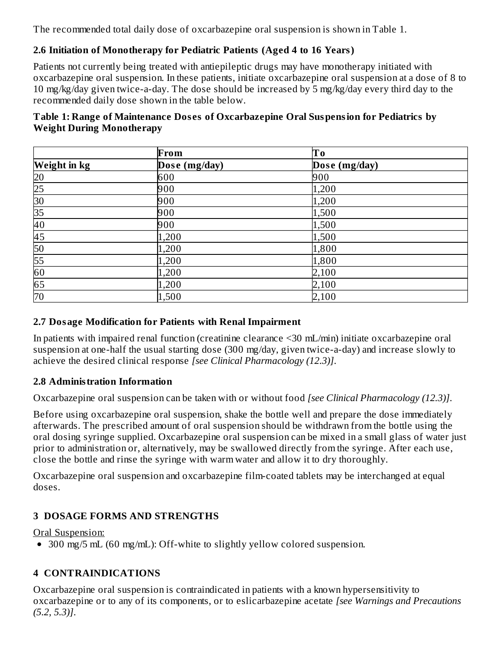The recommended total daily dose of oxcarbazepine oral suspension is shown in Table 1.

# **2.6 Initiation of Monotherapy for Pediatric Patients (Aged 4 to 16 Years)**

Patients not currently being treated with antiepileptic drugs may have monotherapy initiated with oxcarbazepine oral suspension. In these patients, initiate oxcarbazepine oral suspension at a dose of 8 to 10 mg/kg/day given twice-a-day. The dose should be increased by 5 mg/kg/day every third day to the recommended daily dose shown in the table below.

### **Table 1: Range of Maintenance Dos es of Oxcarbazepine Oral Suspension for Pediatrics by Weight During Monotherapy**

|                                                                                                      | From          | Tо            |
|------------------------------------------------------------------------------------------------------|---------------|---------------|
| <b>Weight in kg</b>                                                                                  | Dose (mg/day) | Dose (mg/day) |
|                                                                                                      | 600           | 900           |
|                                                                                                      | 900           | 1,200         |
| 20 25 30 55 60 55 60 55 60 55 60 55 60 55 60 55 60 55 60 55 60 55 60 55 60 55 60 55 60 55 60 55 60 5 | 900           | 1,200         |
|                                                                                                      | 900           | 1,500         |
|                                                                                                      | 900           | 1,500         |
|                                                                                                      | 1,200         | 1,500         |
|                                                                                                      | 1,200         | 1,800         |
|                                                                                                      | 1,200         | 1,800         |
|                                                                                                      | 1,200         | 2,100         |
| 65                                                                                                   | 1,200         | 2,100         |
| 70                                                                                                   | 1,500         | 2,100         |

## **2.7 Dosage Modification for Patients with Renal Impairment**

In patients with impaired renal function (creatinine clearance <30 mL/min) initiate oxcarbazepine oral suspension at one-half the usual starting dose (300 mg/day, given twice-a-day) and increase slowly to achieve the desired clinical response *[see Clinical Pharmacology (12.3)]*.

## **2.8 Administration Information**

Oxcarbazepine oral suspension can be taken with or without food *[see Clinical Pharmacology (12.3)]*.

Before using oxcarbazepine oral suspension, shake the bottle well and prepare the dose immediately afterwards. The prescribed amount of oral suspension should be withdrawn from the bottle using the oral dosing syringe supplied. Oxcarbazepine oral suspension can be mixed in a small glass of water just prior to administration or, alternatively, may be swallowed directly from the syringe. After each use, close the bottle and rinse the syringe with warm water and allow it to dry thoroughly.

Oxcarbazepine oral suspension and oxcarbazepine film-coated tablets may be interchanged at equal doses.

# **3 DOSAGE FORMS AND STRENGTHS**

## Oral Suspension:

300 mg/5 mL (60 mg/mL): Off-white to slightly yellow colored suspension.

# **4 CONTRAINDICATIONS**

Oxcarbazepine oral suspension is contraindicated in patients with a known hypersensitivity to oxcarbazepine or to any of its components, or to eslicarbazepine acetate *[see Warnings and Precautions (5.2, 5.3)]*.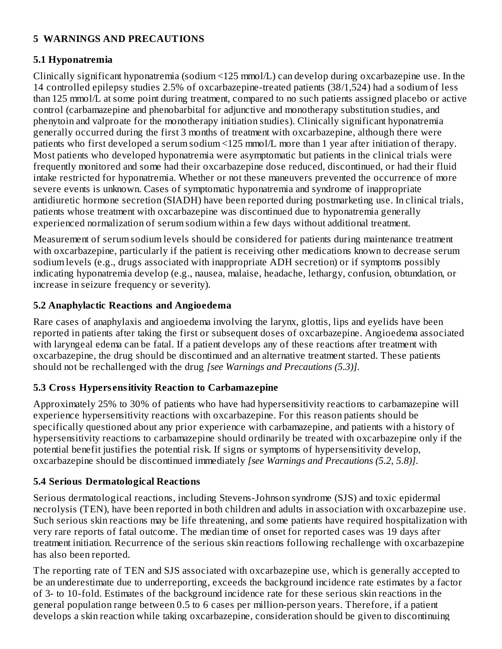### **5 WARNINGS AND PRECAUTIONS**

### **5.1 Hyponatremia**

Clinically significant hyponatremia (sodium <125 mmol/L) can develop during oxcarbazepine use. In the 14 controlled epilepsy studies 2.5% of oxcarbazepine-treated patients (38/1,524) had a sodium of less than 125 mmol/L at some point during treatment, compared to no such patients assigned placebo or active control (carbamazepine and phenobarbital for adjunctive and monotherapy substitution studies, and phenytoin and valproate for the monotherapy initiation studies). Clinically significant hyponatremia generally occurred during the first 3 months of treatment with oxcarbazepine, although there were patients who first developed a serum sodium <125 mmol/L more than 1 year after initiation of therapy. Most patients who developed hyponatremia were asymptomatic but patients in the clinical trials were frequently monitored and some had their oxcarbazepine dose reduced, discontinued, or had their fluid intake restricted for hyponatremia. Whether or not these maneuvers prevented the occurrence of more severe events is unknown. Cases of symptomatic hyponatremia and syndrome of inappropriate antidiuretic hormone secretion (SIADH) have been reported during postmarketing use. In clinical trials, patients whose treatment with oxcarbazepine was discontinued due to hyponatremia generally experienced normalization of serum sodium within a few days without additional treatment.

Measurement of serum sodium levels should be considered for patients during maintenance treatment with oxcarbazepine, particularly if the patient is receiving other medications known to decrease serum sodium levels (e.g., drugs associated with inappropriate ADH secretion) or if symptoms possibly indicating hyponatremia develop (e.g., nausea, malaise, headache, lethargy, confusion, obtundation, or increase in seizure frequency or severity).

### **5.2 Anaphylactic Reactions and Angioedema**

Rare cases of anaphylaxis and angioedema involving the larynx, glottis, lips and eyelids have been reported in patients after taking the first or subsequent doses of oxcarbazepine. Angioedema associated with laryngeal edema can be fatal. If a patient develops any of these reactions after treatment with oxcarbazepine, the drug should be discontinued and an alternative treatment started. These patients should not be rechallenged with the drug *[see Warnings and Precautions (5.3)]*.

## **5.3 Cross Hypers ensitivity Reaction to Carbamazepine**

Approximately 25% to 30% of patients who have had hypersensitivity reactions to carbamazepine will experience hypersensitivity reactions with oxcarbazepine. For this reason patients should be specifically questioned about any prior experience with carbamazepine, and patients with a history of hypersensitivity reactions to carbamazepine should ordinarily be treated with oxcarbazepine only if the potential benefit justifies the potential risk. If signs or symptoms of hypersensitivity develop, oxcarbazepine should be discontinued immediately *[see Warnings and Precautions (5.2, 5.8)]*.

## **5.4 Serious Dermatological Reactions**

Serious dermatological reactions, including Stevens-Johnson syndrome (SJS) and toxic epidermal necrolysis (TEN), have been reported in both children and adults in association with oxcarbazepine use. Such serious skin reactions may be life threatening, and some patients have required hospitalization with very rare reports of fatal outcome. The median time of onset for reported cases was 19 days after treatment initiation. Recurrence of the serious skin reactions following rechallenge with oxcarbazepine has also been reported.

The reporting rate of TEN and SJS associated with oxcarbazepine use, which is generally accepted to be an underestimate due to underreporting, exceeds the background incidence rate estimates by a factor of 3- to 10-fold. Estimates of the background incidence rate for these serious skin reactions in the general population range between 0.5 to 6 cases per million-person years. Therefore, if a patient develops a skin reaction while taking oxcarbazepine, consideration should be given to discontinuing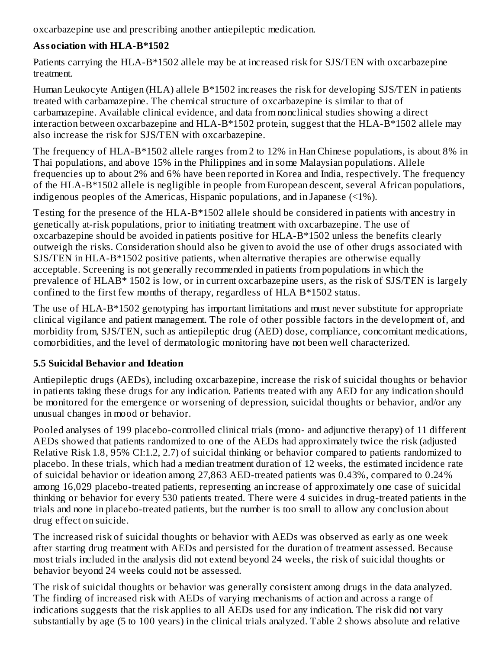oxcarbazepine use and prescribing another antiepileptic medication.

# **Association with HLA-B\*1502**

Patients carrying the HLA-B\*1502 allele may be at increased risk for SJS/TEN with oxcarbazepine treatment.

Human Leukocyte Antigen (HLA) allele B\*1502 increases the risk for developing SJS/TEN in patients treated with carbamazepine. The chemical structure of oxcarbazepine is similar to that of carbamazepine. Available clinical evidence, and data from nonclinical studies showing a direct interaction between oxcarbazepine and HLA-B\*1502 protein, suggest that the HLA-B\*1502 allele may also increase the risk for SJS/TEN with oxcarbazepine.

The frequency of HLA-B\*1502 allele ranges from 2 to 12% in Han Chinese populations, is about 8% in Thai populations, and above 15% in the Philippines and in some Malaysian populations. Allele frequencies up to about 2% and 6% have been reported in Korea and India, respectively. The frequency of the HLA-B\*1502 allele is negligible in people from European descent, several African populations, indigenous peoples of the Americas, Hispanic populations, and in Japanese (<1%).

Testing for the presence of the HLA-B\*1502 allele should be considered in patients with ancestry in genetically at-risk populations, prior to initiating treatment with oxcarbazepine. The use of oxcarbazepine should be avoided in patients positive for HLA-B\*1502 unless the benefits clearly outweigh the risks. Consideration should also be given to avoid the use of other drugs associated with SJS/TEN in HLA-B\*1502 positive patients, when alternative therapies are otherwise equally acceptable. Screening is not generally recommended in patients from populations in which the prevalence of HLAB\* 1502 is low, or in current oxcarbazepine users, as the risk of SJS/TEN is largely confined to the first few months of therapy, regardless of HLA B\*1502 status.

The use of HLA-B\*1502 genotyping has important limitations and must never substitute for appropriate clinical vigilance and patient management. The role of other possible factors in the development of, and morbidity from, SJS/TEN, such as antiepileptic drug (AED) dose, compliance, concomitant medications, comorbidities, and the level of dermatologic monitoring have not been well characterized.

# **5.5 Suicidal Behavior and Ideation**

Antiepileptic drugs (AEDs), including oxcarbazepine, increase the risk of suicidal thoughts or behavior in patients taking these drugs for any indication. Patients treated with any AED for any indication should be monitored for the emergence or worsening of depression, suicidal thoughts or behavior, and/or any unusual changes in mood or behavior.

Pooled analyses of 199 placebo-controlled clinical trials (mono- and adjunctive therapy) of 11 different AEDs showed that patients randomized to one of the AEDs had approximately twice the risk (adjusted Relative Risk 1.8, 95% CI:1.2, 2.7) of suicidal thinking or behavior compared to patients randomized to placebo. In these trials, which had a median treatment duration of 12 weeks, the estimated incidence rate of suicidal behavior or ideation among 27,863 AED-treated patients was 0.43%, compared to 0.24% among 16,029 placebo-treated patients, representing an increase of approximately one case of suicidal thinking or behavior for every 530 patients treated. There were 4 suicides in drug-treated patients in the trials and none in placebo-treated patients, but the number is too small to allow any conclusion about drug effect on suicide.

The increased risk of suicidal thoughts or behavior with AEDs was observed as early as one week after starting drug treatment with AEDs and persisted for the duration of treatment assessed. Because most trials included in the analysis did not extend beyond 24 weeks, the risk of suicidal thoughts or behavior beyond 24 weeks could not be assessed.

The risk of suicidal thoughts or behavior was generally consistent among drugs in the data analyzed. The finding of increased risk with AEDs of varying mechanisms of action and across a range of indications suggests that the risk applies to all AEDs used for any indication. The risk did not vary substantially by age (5 to 100 years) in the clinical trials analyzed. Table 2 shows absolute and relative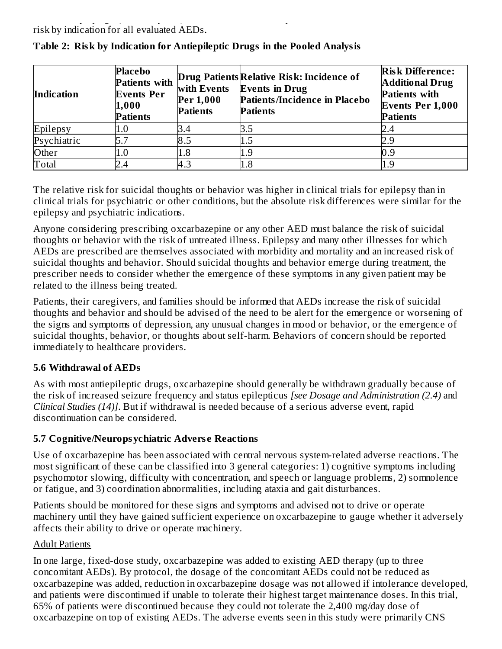substantially by age (5 to 100 years) in the clinical trials analyzed. Table 2 shows absolute and relative risk by indication for all evaluated AEDs.

| <b>Indication</b> | <b>Placebo</b><br><b>Patients with</b><br><b>Events Per</b><br>1,000<br><b>Patients</b> | with Events<br>Per 1,000<br><b>Patients</b> | Drug Patients Relative Risk: Incidence of<br><b>Events in Drug</b><br>Patients/Incidence in Placebo<br><b>Patients</b> | <b>Risk Difference:</b><br><b>Additional Drug</b><br><b>Patients with</b><br><b>Events Per 1,000</b><br><b>Patients</b> |
|-------------------|-----------------------------------------------------------------------------------------|---------------------------------------------|------------------------------------------------------------------------------------------------------------------------|-------------------------------------------------------------------------------------------------------------------------|
| Epilepsy          | 1.U                                                                                     | 3.4                                         | 3.5                                                                                                                    |                                                                                                                         |
| Psychiatric       |                                                                                         | 8.5                                         |                                                                                                                        |                                                                                                                         |
| Other             | $1.0\,$                                                                                 | 1.8                                         | 1.9                                                                                                                    | 0.9                                                                                                                     |
| Total             |                                                                                         | 4.3                                         | 1.8                                                                                                                    |                                                                                                                         |

## **Table 2: Risk by Indication for Antiepileptic Drugs in the Pooled Analysis**

The relative risk for suicidal thoughts or behavior was higher in clinical trials for epilepsy than in clinical trials for psychiatric or other conditions, but the absolute risk differences were similar for the epilepsy and psychiatric indications.

Anyone considering prescribing oxcarbazepine or any other AED must balance the risk of suicidal thoughts or behavior with the risk of untreated illness. Epilepsy and many other illnesses for which AEDs are prescribed are themselves associated with morbidity and mortality and an increased risk of suicidal thoughts and behavior. Should suicidal thoughts and behavior emerge during treatment, the prescriber needs to consider whether the emergence of these symptoms in any given patient may be related to the illness being treated.

Patients, their caregivers, and families should be informed that AEDs increase the risk of suicidal thoughts and behavior and should be advised of the need to be alert for the emergence or worsening of the signs and symptoms of depression, any unusual changes in mood or behavior, or the emergence of suicidal thoughts, behavior, or thoughts about self-harm. Behaviors of concern should be reported immediately to healthcare providers.

## **5.6 Withdrawal of AEDs**

As with most antiepileptic drugs, oxcarbazepine should generally be withdrawn gradually because of the risk of increased seizure frequency and status epilepticus *[see Dosage and Administration (2.4)* and *Clinical Studies (14)]*. But if withdrawal is needed because of a serious adverse event, rapid discontinuation can be considered.

## **5.7 Cognitive/Neuropsychiatric Advers e Reactions**

Use of oxcarbazepine has been associated with central nervous system-related adverse reactions. The most significant of these can be classified into 3 general categories: 1) cognitive symptoms including psychomotor slowing, difficulty with concentration, and speech or language problems, 2) somnolence or fatigue, and 3) coordination abnormalities, including ataxia and gait disturbances.

Patients should be monitored for these signs and symptoms and advised not to drive or operate machinery until they have gained sufficient experience on oxcarbazepine to gauge whether it adversely affects their ability to drive or operate machinery.

## Adult Patients

In one large, fixed-dose study, oxcarbazepine was added to existing AED therapy (up to three concomitant AEDs). By protocol, the dosage of the concomitant AEDs could not be reduced as oxcarbazepine was added, reduction in oxcarbazepine dosage was not allowed if intolerance developed, and patients were discontinued if unable to tolerate their highest target maintenance doses. In this trial, 65% of patients were discontinued because they could not tolerate the 2,400 mg/day dose of oxcarbazepine on top of existing AEDs. The adverse events seen in this study were primarily CNS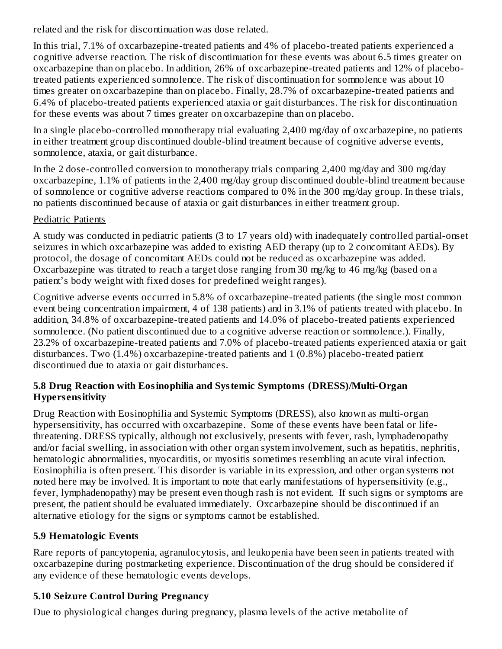related and the risk for discontinuation was dose related.

In this trial, 7.1% of oxcarbazepine-treated patients and 4% of placebo-treated patients experienced a cognitive adverse reaction. The risk of discontinuation for these events was about 6.5 times greater on oxcarbazepine than on placebo. In addition, 26% of oxcarbazepine-treated patients and 12% of placebotreated patients experienced somnolence. The risk of discontinuation for somnolence was about 10 times greater on oxcarbazepine than on placebo. Finally, 28.7% of oxcarbazepine-treated patients and 6.4% of placebo-treated patients experienced ataxia or gait disturbances. The risk for discontinuation for these events was about 7 times greater on oxcarbazepine than on placebo.

In a single placebo-controlled monotherapy trial evaluating 2,400 mg/day of oxcarbazepine, no patients in either treatment group discontinued double-blind treatment because of cognitive adverse events, somnolence, ataxia, or gait disturbance.

In the 2 dose-controlled conversion to monotherapy trials comparing 2,400 mg/day and 300 mg/day oxcarbazepine, 1.1% of patients in the 2,400 mg/day group discontinued double-blind treatment because of somnolence or cognitive adverse reactions compared to 0% in the 300 mg/day group. In these trials, no patients discontinued because of ataxia or gait disturbances in either treatment group.

## Pediatric Patients

A study was conducted in pediatric patients (3 to 17 years old) with inadequately controlled partial-onset seizures in which oxcarbazepine was added to existing AED therapy (up to 2 concomitant AEDs). By protocol, the dosage of concomitant AEDs could not be reduced as oxcarbazepine was added. Oxcarbazepine was titrated to reach a target dose ranging from 30 mg/kg to 46 mg/kg (based on a patient's body weight with fixed doses for predefined weight ranges).

Cognitive adverse events occurred in 5.8% of oxcarbazepine-treated patients (the single most common event being concentration impairment, 4 of 138 patients) and in 3.1% of patients treated with placebo. In addition, 34.8% of oxcarbazepine-treated patients and 14.0% of placebo-treated patients experienced somnolence. (No patient discontinued due to a cognitive adverse reaction or somnolence.). Finally, 23.2% of oxcarbazepine-treated patients and 7.0% of placebo-treated patients experienced ataxia or gait disturbances. Two (1.4%) oxcarbazepine-treated patients and 1 (0.8%) placebo-treated patient discontinued due to ataxia or gait disturbances.

### **5.8 Drug Reaction with Eosinophilia and Systemic Symptoms (DRESS)/Multi-Organ Hypers ensitivity**

Drug Reaction with Eosinophilia and Systemic Symptoms (DRESS), also known as multi-organ hypersensitivity, has occurred with oxcarbazepine. Some of these events have been fatal or lifethreatening. DRESS typically, although not exclusively, presents with fever, rash, lymphadenopathy and/or facial swelling, in association with other organ system involvement, such as hepatitis, nephritis, hematologic abnormalities, myocarditis, or myositis sometimes resembling an acute viral infection. Eosinophilia is often present. This disorder is variable in its expression, and other organ systems not noted here may be involved. It is important to note that early manifestations of hypersensitivity (e.g., fever, lymphadenopathy) may be present even though rash is not evident. If such signs or symptoms are present, the patient should be evaluated immediately. Oxcarbazepine should be discontinued if an alternative etiology for the signs or symptoms cannot be established.

## **5.9 Hematologic Events**

Rare reports of pancytopenia, agranulocytosis, and leukopenia have been seen in patients treated with oxcarbazepine during postmarketing experience. Discontinuation of the drug should be considered if any evidence of these hematologic events develops.

## **5.10 Seizure Control During Pregnancy**

Due to physiological changes during pregnancy, plasma levels of the active metabolite of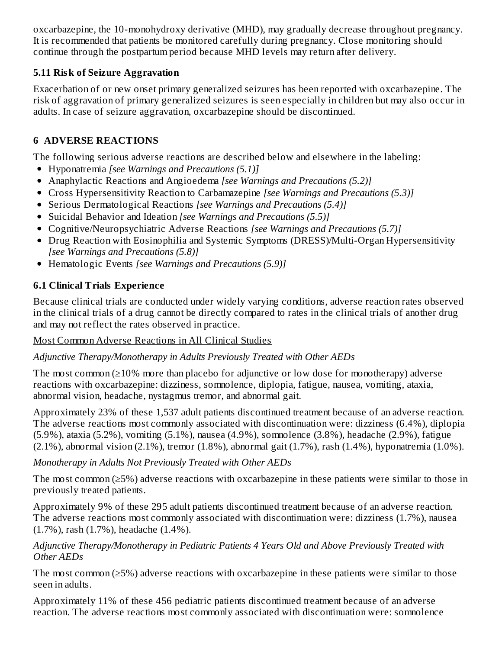oxcarbazepine, the 10-monohydroxy derivative (MHD), may gradually decrease throughout pregnancy. It is recommended that patients be monitored carefully during pregnancy. Close monitoring should continue through the postpartum period because MHD levels may return after delivery.

## **5.11 Risk of Seizure Aggravation**

Exacerbation of or new onset primary generalized seizures has been reported with oxcarbazepine. The risk of aggravation of primary generalized seizures is seen especially in children but may also occur in adults. In case of seizure aggravation, oxcarbazepine should be discontinued.

# **6 ADVERSE REACTIONS**

The following serious adverse reactions are described below and elsewhere in the labeling:

- Hyponatremia *[see Warnings and Precautions (5.1)]*
- Anaphylactic Reactions and Angioedema *[see Warnings and Precautions (5.2)]*
- Cross Hypersensitivity Reaction to Carbamazepine *[see Warnings and Precautions (5.3)]*
- Serious Dermatological Reactions *[see Warnings and Precautions (5.4)]*
- Suicidal Behavior and Ideation *[see Warnings and Precautions (5.5)]*
- Cognitive/Neuropsychiatric Adverse Reactions *[see Warnings and Precautions (5.7)]*
- Drug Reaction with Eosinophilia and Systemic Symptoms (DRESS)/Multi-Organ Hypersensitivity *[see Warnings and Precautions (5.8)]*
- Hematologic Events *[see Warnings and Precautions (5.9)]*

# **6.1 Clinical Trials Experience**

Because clinical trials are conducted under widely varying conditions, adverse reaction rates observed in the clinical trials of a drug cannot be directly compared to rates in the clinical trials of another drug and may not reflect the rates observed in practice.

## Most Common Adverse Reactions in All Clinical Studies

## *Adjunctive Therapy/Monotherapy in Adults Previously Treated with Other AEDs*

The most common (≥10% more than placebo for adjunctive or low dose for monotherapy) adverse reactions with oxcarbazepine: dizziness, somnolence, diplopia, fatigue, nausea, vomiting, ataxia, abnormal vision, headache, nystagmus tremor, and abnormal gait.

Approximately 23% of these 1,537 adult patients discontinued treatment because of an adverse reaction. The adverse reactions most commonly associated with discontinuation were: dizziness (6.4%), diplopia (5.9%), ataxia (5.2%), vomiting (5.1%), nausea (4.9%), somnolence (3.8%), headache (2.9%), fatigue (2.1%), abnormal vision (2.1%), tremor (1.8%), abnormal gait (1.7%), rash (1.4%), hyponatremia (1.0%).

## *Monotherapy in Adults Not Previously Treated with Other AEDs*

The most common (≥5%) adverse reactions with oxcarbazepine in these patients were similar to those in previously treated patients.

Approximately 9% of these 295 adult patients discontinued treatment because of an adverse reaction. The adverse reactions most commonly associated with discontinuation were: dizziness (1.7%), nausea (1.7%), rash (1.7%), headache (1.4%).

### *Adjunctive Therapy/Monotherapy in Pediatric Patients 4 Years Old and Above Previously Treated with Other AEDs*

The most common (≥5%) adverse reactions with oxcarbazepine in these patients were similar to those seen in adults.

Approximately 11% of these 456 pediatric patients discontinued treatment because of an adverse reaction. The adverse reactions most commonly associated with discontinuation were: somnolence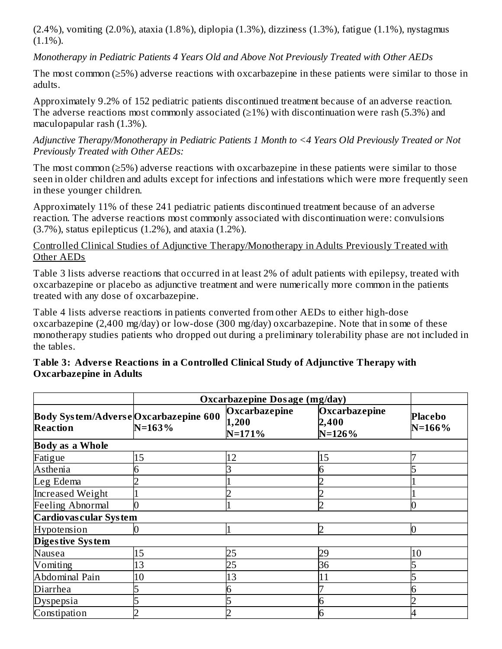(2.4%), vomiting (2.0%), ataxia (1.8%), diplopia (1.3%), dizziness (1.3%), fatigue (1.1%), nystagmus  $(1.1\%)$ .

*Monotherapy in Pediatric Patients 4 Years Old and Above Not Previously Treated with Other AEDs*

The most common (≥5%) adverse reactions with oxcarbazepine in these patients were similar to those in adults.

Approximately 9.2% of 152 pediatric patients discontinued treatment because of an adverse reaction. The adverse reactions most commonly associated  $(\geq 1\%)$  with discontinuation were rash (5.3%) and maculopapular rash (1.3%).

*Adjunctive Therapy/Monotherapy in Pediatric Patients 1 Month to <4 Years Old Previously Treated or Not Previously Treated with Other AEDs:*

The most common (≥5%) adverse reactions with oxcarbazepine in these patients were similar to those seen in older children and adults except for infections and infestations which were more frequently seen in these younger children.

Approximately 11% of these 241 pediatric patients discontinued treatment because of an adverse reaction. The adverse reactions most commonly associated with discontinuation were: convulsions  $(3.7%)$ , status epilepticus  $(1.2%)$ , and ataxia  $(1.2%)$ .

Controlled Clinical Studies of Adjunctive Therapy/Monotherapy in Adults Previously Treated with Other AEDs

Table 3 lists adverse reactions that occurred in at least 2% of adult patients with epilepsy, treated with oxcarbazepine or placebo as adjunctive treatment and were numerically more common in the patients treated with any dose of oxcarbazepine.

Table 4 lists adverse reactions in patients converted from other AEDs to either high-dose oxcarbazepine (2,400 mg/day) or low-dose (300 mg/day) oxcarbazepine. Note that in some of these monotherapy studies patients who dropped out during a preliminary tolerability phase are not included in the tables.

|                                                         | Oxcarbazepine Dosage (mg/day) |                                      |                                      |                              |
|---------------------------------------------------------|-------------------------------|--------------------------------------|--------------------------------------|------------------------------|
| Body System/AdverseOxcarbazepine 600<br><b>Reaction</b> | $N = 163%$                    | Oxcarbazepine<br>1,200<br>$N = 171%$ | Oxcarbazepine<br>2,400<br>$N = 126%$ | <b>Placebo</b><br>$N = 166%$ |
| <b>Body as a Whole</b>                                  |                               |                                      |                                      |                              |
| Fatigue                                                 | 15                            | 12                                   | 15                                   |                              |
| Asthenia                                                |                               |                                      |                                      |                              |
| Leg Edema                                               |                               |                                      |                                      |                              |
| <b>Increased Weight</b>                                 |                               |                                      |                                      |                              |
| <b>Feeling Abnormal</b>                                 |                               |                                      |                                      |                              |
| <b>Cardiovas cular System</b>                           |                               |                                      |                                      |                              |
| Hypotension                                             |                               |                                      |                                      | N                            |
| Diges tive System                                       |                               |                                      |                                      |                              |
| Nausea                                                  | 15                            | 25                                   | 29                                   | 10                           |
| Vomiting                                                | 13                            | 25                                   | 36                                   |                              |
| <b>Abdominal Pain</b>                                   | 10                            | 13                                   | 11                                   |                              |
| Diarrhea                                                |                               |                                      |                                      |                              |
| <b>Dyspepsia</b>                                        |                               |                                      |                                      |                              |
| Constipation                                            |                               |                                      | 6                                    | 4                            |

### **Table 3: Advers e Reactions in a Controlled Clinical Study of Adjunctive Therapy with Oxcarbazepine in Adults**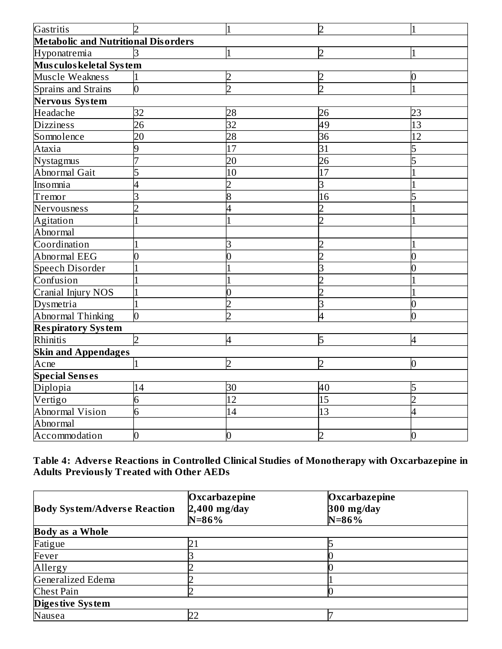| Gastritis                                  |                | $\overline{1}$ | $\overline{2}$  | 1            |
|--------------------------------------------|----------------|----------------|-----------------|--------------|
| <b>Metabolic and Nutritional Disorders</b> |                |                |                 |              |
| Hyponatremia                               | k              |                | $\overline{2}$  |              |
| Musculos keletal System                    |                |                |                 |              |
| Muscle Weakness                            |                |                |                 | 0            |
| Sprains and Strains                        | $\overline{0}$ | ኃ              | $\overline{2}$  |              |
| Nervous System                             |                |                |                 |              |
| Headache                                   | 32             | 28             | 26              | 23           |
| <b>Dizziness</b>                           | 26             | 32             | 49              | 13           |
| Somnolence                                 | 20             | 28             | $\overline{36}$ | 12           |
| Ataxia                                     | 9              | 17             | $\overline{31}$ | 5            |
| Nystagmus                                  |                | 20             | $\overline{26}$ | 5            |
| <b>Abnormal Gait</b>                       | 5              | 10             | 17              |              |
| Insomnia                                   | 4              |                | 3               |              |
| Tremor                                     | 3              | 8              | 16              | 5            |
| Nervousness                                | ን              |                | フ               |              |
| Agitation                                  |                |                | つ               |              |
| Abnormal                                   |                |                |                 |              |
| Coordination                               |                |                |                 |              |
| Abnormal EEG                               |                |                |                 |              |
| <b>Speech Disorder</b>                     |                |                |                 |              |
| Confusion                                  |                |                |                 |              |
| Cranial Injury NOS                         |                | N              |                 |              |
| Dysmetria                                  |                |                | 3               | 0            |
| Abnormal Thinking                          | n              | っ              | 4               | 0            |
| <b>Respiratory System</b>                  |                |                |                 |              |
| Rhinitis                                   | $\mathcal{D}$  | $\overline{4}$ | 5               | 4            |
| <b>Skin and Appendages</b>                 |                |                |                 |              |
| Acne                                       | $\mathbf{1}$   | C              | $\overline{2}$  | 0            |
| <b>Special Senses</b>                      |                |                |                 |              |
| Diplopia                                   | 14             | 30             | 40              | 5            |
| Vertigo                                    | 6              | 12             | 15              | <sub>D</sub> |
| Abnormal Vision                            | 6              | 14             | 13              | 4            |
| Abnormal                                   |                |                |                 |              |
| Accommodation                              | 0              | 0              | フ               |              |

**Table 4: Advers e Reactions in Controlled Clinical Studies of Monotherapy with Oxcarbazepine in Adults Previously Treated with Other AEDs**

|                                     | Oxcarbazepine  | Oxcarbazepine |
|-------------------------------------|----------------|---------------|
| <b>Body System/Adverse Reaction</b> | $2,400$ mg/day | $300$ mg/day  |
|                                     | $N = 86\%$     | $N = 86%$     |
| <b>Body as a Whole</b>              |                |               |
| Fatigue                             |                |               |
| Fever                               |                |               |
| Allergy                             |                |               |
| Generalized Edema                   |                |               |
| <b>Chest Pain</b>                   |                |               |
| Diges tive System                   |                |               |
| Nausea                              |                |               |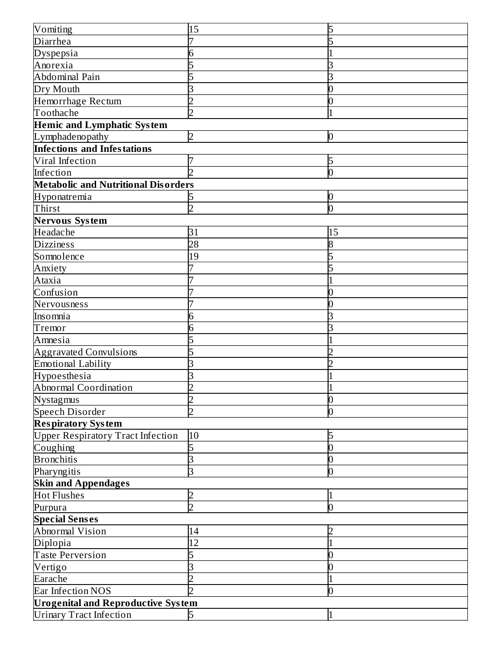| Vomiting                                   | 15             | 5  |  |  |
|--------------------------------------------|----------------|----|--|--|
| Diarrhea                                   |                |    |  |  |
| Dyspepsia                                  | 6              |    |  |  |
| Anorexia                                   |                |    |  |  |
| Abdominal Pain                             |                |    |  |  |
| Dry Mouth                                  | З              |    |  |  |
| Hemorrhage Rectum                          | ን              |    |  |  |
| Toothache                                  | $\overline{2}$ |    |  |  |
| <b>Hemic and Lymphatic System</b>          |                |    |  |  |
| Lymphadenopathy                            | 2              | 0  |  |  |
| <b>Infections and Infestations</b>         |                |    |  |  |
| Viral Infection                            |                | 5  |  |  |
| Infection                                  | ヮ              | 0  |  |  |
| <b>Metabolic and Nutritional Disorders</b> |                |    |  |  |
| Hyponatremia                               |                | 0  |  |  |
| Thirst                                     | フ              | N  |  |  |
| <b>Nervous System</b>                      |                |    |  |  |
| Headache                                   | 31             | 15 |  |  |
| <b>Dizziness</b>                           | 28             |    |  |  |
| Somnolence                                 | 19             |    |  |  |
| Anxiety                                    |                |    |  |  |
| Ataxia                                     |                |    |  |  |
| Confusion                                  |                |    |  |  |
| Nervousness                                |                |    |  |  |
| Insomnia                                   | 6              |    |  |  |
| Tremor                                     | 6              |    |  |  |
| Amnesia                                    |                |    |  |  |
| <b>Aggravated Convulsions</b>              | 5              |    |  |  |
| <b>Emotional Lability</b>                  |                |    |  |  |
| Hypoesthesia                               | З              |    |  |  |
| Abnormal Coordination                      | D              |    |  |  |
| <b>Nystagmus</b>                           | フ              | 0  |  |  |
| <b>Speech Disorder</b>                     | っ              |    |  |  |
| <b>Respiratory System</b>                  |                |    |  |  |
| <b>Upper Respiratory Tract Infection</b>   | 10             | 5  |  |  |
| Coughing                                   | 5              |    |  |  |
| <b>Bronchitis</b>                          | 3              |    |  |  |
| Pharyngitis                                | З              | O  |  |  |
| <b>Skin and Appendages</b>                 |                |    |  |  |
| <b>Hot Flushes</b>                         | 2              |    |  |  |
| Purpura                                    | $\overline{2}$ | 0  |  |  |
| <b>Special Senses</b>                      |                |    |  |  |
| Abnormal Vision                            | 14             |    |  |  |
| Diplopia                                   | 12             |    |  |  |
| <b>Taste Perversion</b>                    | 5              |    |  |  |
| Vertigo                                    |                |    |  |  |
| Earache                                    |                |    |  |  |
| Ear Infection NOS                          | 2              | 0  |  |  |
| <b>Urogenital and Reproductive System</b>  |                |    |  |  |
| <b>Urinary Tract Infection</b>             | 5              | 1  |  |  |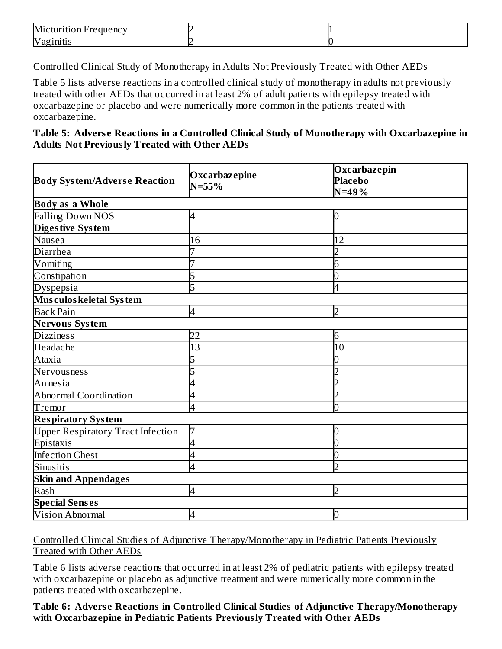| Mi<br>equency<br>- |  |
|--------------------|--|
| Vag<br>:1111 U.S   |  |

Controlled Clinical Study of Monotherapy in Adults Not Previously Treated with Other AEDs

Table 5 lists adverse reactions in a controlled clinical study of monotherapy in adults not previously treated with other AEDs that occurred in at least 2% of adult patients with epilepsy treated with oxcarbazepine or placebo and were numerically more common in the patients treated with oxcarbazepine.

**Table 5: Advers e Reactions in a Controlled Clinical Study of Monotherapy with Oxcarbazepine in Adults Not Previously Treated with Other AEDs**

| <b>Body System/Adverse Reaction</b>      | Oxcarbazepine<br>$N = 55%$ | Oxcarbazepin<br><b>Placebo</b><br>$N = 49%$ |
|------------------------------------------|----------------------------|---------------------------------------------|
| <b>Body as a Whole</b>                   |                            |                                             |
| <b>Falling Down NOS</b>                  | 4                          | 0                                           |
| Diges tive System                        |                            |                                             |
| Nausea                                   | 16                         | 12                                          |
| <b>Diarrhea</b>                          |                            | $\overline{2}$                              |
| Vomiting                                 |                            | 6                                           |
| Constipation                             | 5                          | 0                                           |
| Dyspepsia                                | 5                          | 4                                           |
| Mus culos keletal System                 |                            |                                             |
| <b>Back Pain</b>                         | 4                          | $\overline{2}$                              |
| Nervous System                           |                            |                                             |
| <b>Dizziness</b>                         | 22                         | 6                                           |
| Headache                                 | 13                         | 10                                          |
| Ataxia                                   |                            | 0                                           |
| Nervousness                              |                            | フ                                           |
| Amnesia                                  |                            | C                                           |
| Abnormal Coordination                    | 4                          | $\overline{2}$                              |
| Tremor                                   | 4                          | 0                                           |
| <b>Respiratory System</b>                |                            |                                             |
| <b>Upper Respiratory Tract Infection</b> |                            | 0                                           |
| Epistaxis                                | 4                          | $\overline{0}$                              |
| <b>Infection Chest</b>                   | 4                          | $\overline{0}$                              |
| Sinusitis                                | 4                          | $\overline{2}$                              |
| <b>Skin and Appendages</b>               |                            |                                             |
| Rash                                     | 4                          | $\overline{2}$                              |
| <b>Special Senses</b>                    |                            |                                             |
| Vision Abnormal                          | 4                          | 0                                           |

Controlled Clinical Studies of Adjunctive Therapy/Monotherapy in Pediatric Patients Previously Treated with Other AEDs

Table 6 lists adverse reactions that occurred in at least 2% of pediatric patients with epilepsy treated with oxcarbazepine or placebo as adjunctive treatment and were numerically more common in the patients treated with oxcarbazepine.

**Table 6: Advers e Reactions in Controlled Clinical Studies of Adjunctive Therapy/Monotherapy with Oxcarbazepine in Pediatric Patients Previously Treated with Other AEDs**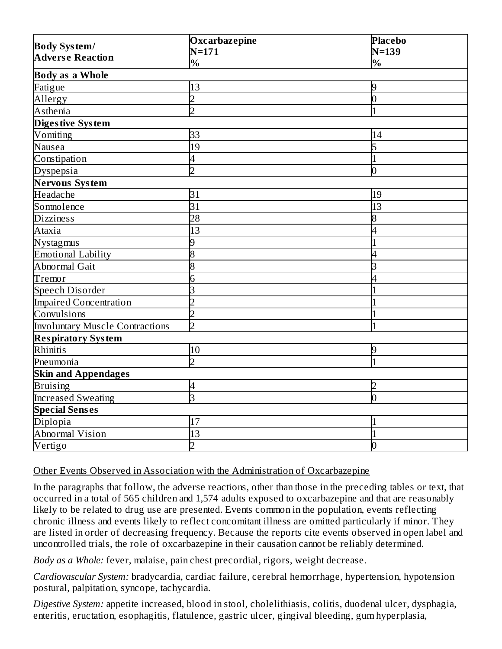|                                                | Oxcarbazepine   | <b>Placebo</b> |  |  |
|------------------------------------------------|-----------------|----------------|--|--|
| <b>Body System/</b><br><b>Adverse Reaction</b> | $N = 171$       | $N=139$        |  |  |
|                                                | $\%$            | $\%$           |  |  |
| <b>Body as a Whole</b>                         |                 |                |  |  |
| Fatigue                                        | 13              | 9              |  |  |
| Allergy                                        | $\overline{2}$  | $\overline{0}$ |  |  |
| Asthenia                                       | $\overline{z}$  | $\overline{1}$ |  |  |
| Digestive System                               |                 |                |  |  |
| Vomiting                                       | 33              | 14             |  |  |
| Nausea                                         | 19              | 5              |  |  |
| Constipation                                   | 4               | 1              |  |  |
| Dyspepsia                                      | $\overline{2}$  | 0              |  |  |
| Nervous System                                 |                 |                |  |  |
| Headache                                       | 31              | 19             |  |  |
| Somnolence                                     | $\overline{31}$ | 13             |  |  |
| <b>Dizziness</b>                               | 28              | 8              |  |  |
| Ataxia                                         | 13              | 4              |  |  |
| Nystagmus                                      | 9               |                |  |  |
| <b>Emotional Lability</b>                      | 8               | 4              |  |  |
| <b>Abnormal Gait</b>                           | $\overline{8}$  | 3              |  |  |
| Tremor                                         | 6               | 4              |  |  |
| Speech Disorder                                | 3               |                |  |  |
| <b>Impaired Concentration</b>                  | $\overline{2}$  |                |  |  |
| Convulsions                                    | $\overline{2}$  |                |  |  |
| <b>Involuntary Muscle Contractions</b>         | $\overline{2}$  | $\mathbf 1$    |  |  |
| <b>Respiratory System</b>                      |                 |                |  |  |
| Rhinitis                                       | 10              | 9              |  |  |
| Pneumonia                                      | $\overline{2}$  | $\overline{1}$ |  |  |
| <b>Skin and Appendages</b>                     |                 |                |  |  |
| <b>Bruising</b>                                | 4               | $\overline{2}$ |  |  |
| <b>Increased Sweating</b>                      | $\overline{3}$  | $\overline{0}$ |  |  |
| <b>Special Senses</b>                          |                 |                |  |  |
| Diplopia                                       | 17              |                |  |  |
| Abnormal Vision                                | 13              |                |  |  |
| Vertigo                                        | $\overline{2}$  | 0              |  |  |

### Other Events Observed in Association with the Administration of Oxcarbazepine

In the paragraphs that follow, the adverse reactions, other than those in the preceding tables or text, that occurred in a total of 565 children and 1,574 adults exposed to oxcarbazepine and that are reasonably likely to be related to drug use are presented. Events common in the population, events reflecting chronic illness and events likely to reflect concomitant illness are omitted particularly if minor. They are listed in order of decreasing frequency. Because the reports cite events observed in open label and uncontrolled trials, the role of oxcarbazepine in their causation cannot be reliably determined.

*Body as a Whole:* fever, malaise, pain chest precordial, rigors, weight decrease.

*Cardiovascular System:* bradycardia, cardiac failure, cerebral hemorrhage, hypertension, hypotension postural, palpitation, syncope, tachycardia.

*Digestive System:* appetite increased, blood in stool, cholelithiasis, colitis, duodenal ulcer, dysphagia, enteritis, eructation, esophagitis, flatulence, gastric ulcer, gingival bleeding, gum hyperplasia,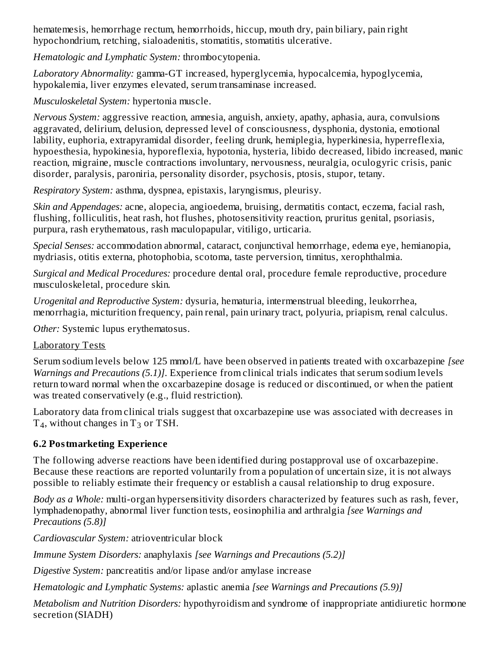hematemesis, hemorrhage rectum, hemorrhoids, hiccup, mouth dry, pain biliary, pain right hypochondrium, retching, sialoadenitis, stomatitis, stomatitis ulcerative.

*Hematologic and Lymphatic System:* thrombocytopenia.

*Laboratory Abnormality:* gamma-GT increased, hyperglycemia, hypocalcemia, hypoglycemia, hypokalemia, liver enzymes elevated, serum transaminase increased.

*Musculoskeletal System:* hypertonia muscle.

*Nervous System:* aggressive reaction, amnesia, anguish, anxiety, apathy, aphasia, aura, convulsions aggravated, delirium, delusion, depressed level of consciousness, dysphonia, dystonia, emotional lability, euphoria, extrapyramidal disorder, feeling drunk, hemiplegia, hyperkinesia, hyperreflexia, hypoesthesia, hypokinesia, hyporeflexia, hypotonia, hysteria, libido decreased, libido increased, manic reaction, migraine, muscle contractions involuntary, nervousness, neuralgia, oculogyric crisis, panic disorder, paralysis, paroniria, personality disorder, psychosis, ptosis, stupor, tetany.

*Respiratory System:* asthma, dyspnea, epistaxis, laryngismus, pleurisy.

*Skin and Appendages:* acne, alopecia, angioedema, bruising, dermatitis contact, eczema, facial rash, flushing, folliculitis, heat rash, hot flushes, photosensitivity reaction, pruritus genital, psoriasis, purpura, rash erythematous, rash maculopapular, vitiligo, urticaria.

*Special Senses:* accommodation abnormal, cataract, conjunctival hemorrhage, edema eye, hemianopia, mydriasis, otitis externa, photophobia, scotoma, taste perversion, tinnitus, xerophthalmia.

*Surgical and Medical Procedures:* procedure dental oral, procedure female reproductive, procedure musculoskeletal, procedure skin.

*Urogenital and Reproductive System:* dysuria, hematuria, intermenstrual bleeding, leukorrhea, menorrhagia, micturition frequency, pain renal, pain urinary tract, polyuria, priapism, renal calculus.

*Other:* Systemic lupus erythematosus.

## Laboratory Tests

Serum sodium levels below 125 mmol/L have been observed in patients treated with oxcarbazepine *[see Warnings and Precautions (5.1)]*. Experience from clinical trials indicates that serum sodium levels return toward normal when the oxcarbazepine dosage is reduced or discontinued, or when the patient was treated conservatively (e.g., fluid restriction).

Laboratory data from clinical trials suggest that oxcarbazepine use was associated with decreases in  $T_4$ , without changes in  $T_3$  or TSH.

## **6.2 Postmarketing Experience**

The following adverse reactions have been identified during postapproval use of oxcarbazepine. Because these reactions are reported voluntarily from a population of uncertain size, it is not always possible to reliably estimate their frequency or establish a causal relationship to drug exposure.

*Body as a Whole:* multi-organ hypersensitivity disorders characterized by features such as rash, fever, lymphadenopathy, abnormal liver function tests, eosinophilia and arthralgia *[see Warnings and Precautions (5.8)]*

*Cardiovascular System:* atrioventricular block

*Immune System Disorders:* anaphylaxis *[see Warnings and Precautions (5.2)]*

*Digestive System:* pancreatitis and/or lipase and/or amylase increase

*Hematologic and Lymphatic Systems:* aplastic anemia *[see Warnings and Precautions (5.9)]*

*Metabolism and Nutrition Disorders:* hypothyroidism and syndrome of inappropriate antidiuretic hormone secretion (SIADH)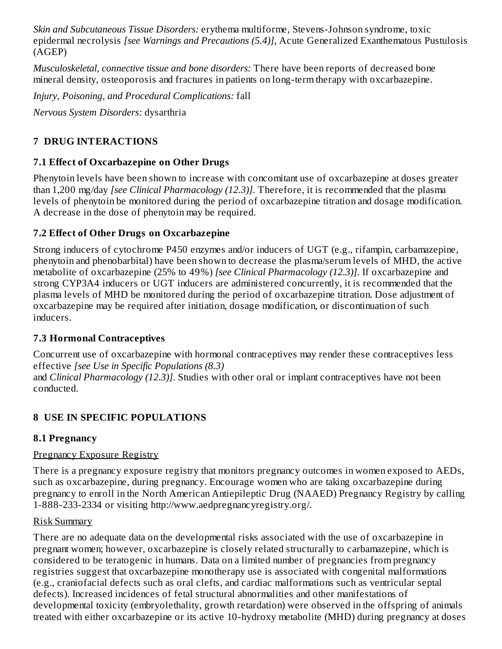*Skin and Subcutaneous Tissue Disorders:* erythema multiforme, Stevens-Johnson syndrome, toxic epidermal necrolysis *[see Warnings and Precautions (5.4)]*, Acute Generalized Exanthematous Pustulosis (AGEP)

*Musculoskeletal, connective tissue and bone disorders:* There have been reports of decreased bone mineral density, osteoporosis and fractures in patients on long-term therapy with oxcarbazepine.

*Injury, Poisoning, and Procedural Complications:* fall

*Nervous System Disorders:* dysarthria

# **7 DRUG INTERACTIONS**

## **7.1 Effect of Oxcarbazepine on Other Drugs**

Phenytoin levels have been shown to increase with concomitant use of oxcarbazepine at doses greater than 1,200 mg/day *[see Clinical Pharmacology (12.3)]*. Therefore, it is recommended that the plasma levels of phenytoin be monitored during the period of oxcarbazepine titration and dosage modification. A decrease in the dose of phenytoin may be required.

# **7.2 Effect of Other Drugs on Oxcarbazepine**

Strong inducers of cytochrome P450 enzymes and/or inducers of UGT (e.g., rifampin, carbamazepine, phenytoin and phenobarbital) have been shown to decrease the plasma/serum levels of MHD, the active metabolite of oxcarbazepine (25% to 49%) *[see Clinical Pharmacology (12.3)]*. If oxcarbazepine and strong CYP3A4 inducers or UGT inducers are administered concurrently, it is recommended that the plasma levels of MHD be monitored during the period of oxcarbazepine titration. Dose adjustment of oxcarbazepine may be required after initiation, dosage modification, or discontinuation of such inducers.

## **7.3 Hormonal Contraceptives**

Concurrent use of oxcarbazepine with hormonal contraceptives may render these contraceptives less effective *[see Use in Specific Populations (8.3)*

and *Clinical Pharmacology (12.3)]*. Studies with other oral or implant contraceptives have not been conducted.

# **8 USE IN SPECIFIC POPULATIONS**

## **8.1 Pregnancy**

# Pregnancy Exposure Registry

There is a pregnancy exposure registry that monitors pregnancy outcomes in women exposed to AEDs, such as oxcarbazepine, during pregnancy. Encourage women who are taking oxcarbazepine during pregnancy to enroll in the North American Antiepileptic Drug (NAAED) Pregnancy Registry by calling 1-888-233-2334 or visiting http://www.aedpregnancyregistry.org/.

## Risk Summary

There are no adequate data on the developmental risks associated with the use of oxcarbazepine in pregnant women; however, oxcarbazepine is closely related structurally to carbamazepine, which is considered to be teratogenic in humans. Data on a limited number of pregnancies from pregnancy registries suggest that oxcarbazepine monotherapy use is associated with congenital malformations (e.g., craniofacial defects such as oral clefts, and cardiac malformations such as ventricular septal defects). Increased incidences of fetal structural abnormalities and other manifestations of developmental toxicity (embryolethality, growth retardation) were observed in the offspring of animals treated with either oxcarbazepine or its active 10-hydroxy metabolite (MHD) during pregnancy at doses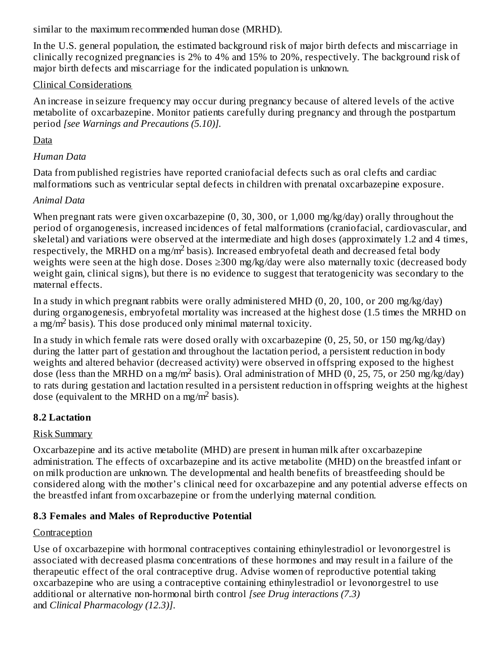similar to the maximum recommended human dose (MRHD).

In the U.S. general population, the estimated background risk of major birth defects and miscarriage in clinically recognized pregnancies is 2% to 4% and 15% to 20%, respectively. The background risk of major birth defects and miscarriage for the indicated population is unknown.

## Clinical Considerations

An increase in seizure frequency may occur during pregnancy because of altered levels of the active metabolite of oxcarbazepine. Monitor patients carefully during pregnancy and through the postpartum period *[see Warnings and Precautions (5.10)].*

# Data

# *Human Data*

Data from published registries have reported craniofacial defects such as oral clefts and cardiac malformations such as ventricular septal defects in children with prenatal oxcarbazepine exposure.

# *Animal Data*

When pregnant rats were given oxcarbazepine (0, 30, 300, or 1,000 mg/kg/day) orally throughout the period of organogenesis, increased incidences of fetal malformations (craniofacial, cardiovascular, and skeletal) and variations were observed at the intermediate and high doses (approximately 1.2 and 4 times, respectively, the MRHD on a mg/m<sup>2</sup> basis). Increased embryofetal death and decreased fetal body weights were seen at the high dose. Doses ≥300 mg/kg/day were also maternally toxic (decreased body weight gain, clinical signs), but there is no evidence to suggest that teratogenicity was secondary to the maternal effects.

In a study in which pregnant rabbits were orally administered MHD (0, 20, 100, or 200 mg/kg/day) during organogenesis, embryofetal mortality was increased at the highest dose (1.5 times the MRHD on a mg/m<sup>2</sup> basis). This dose produced only minimal maternal toxicity.

In a study in which female rats were dosed orally with oxcarbazepine (0, 25, 50, or 150 mg/kg/day) during the latter part of gestation and throughout the lactation period, a persistent reduction in body weights and altered behavior (decreased activity) were observed in offspring exposed to the highest dose (less than the MRHD on a mg/m<sup>2</sup> basis). Oral administration of MHD (0, 25, 75, or 250 mg/kg/day) to rats during gestation and lactation resulted in a persistent reduction in offspring weights at the highest dose (equivalent to the MRHD on a mg/m<sup>2</sup> basis).

# **8.2 Lactation**

# Risk Summary

Oxcarbazepine and its active metabolite (MHD) are present in human milk after oxcarbazepine administration. The effects of oxcarbazepine and its active metabolite (MHD) on the breastfed infant or on milk production are unknown. The developmental and health benefits of breastfeeding should be considered along with the mother's clinical need for oxcarbazepine and any potential adverse effects on the breastfed infant from oxcarbazepine or from the underlying maternal condition.

# **8.3 Females and Males of Reproductive Potential**

# **Contraception**

Use of oxcarbazepine with hormonal contraceptives containing ethinylestradiol or levonorgestrel is associated with decreased plasma concentrations of these hormones and may result in a failure of the therapeutic effect of the oral contraceptive drug. Advise women of reproductive potential taking oxcarbazepine who are using a contraceptive containing ethinylestradiol or levonorgestrel to use additional or alternative non-hormonal birth control *[see Drug interactions (7.3)* and *Clinical Pharmacology (12.3)]*.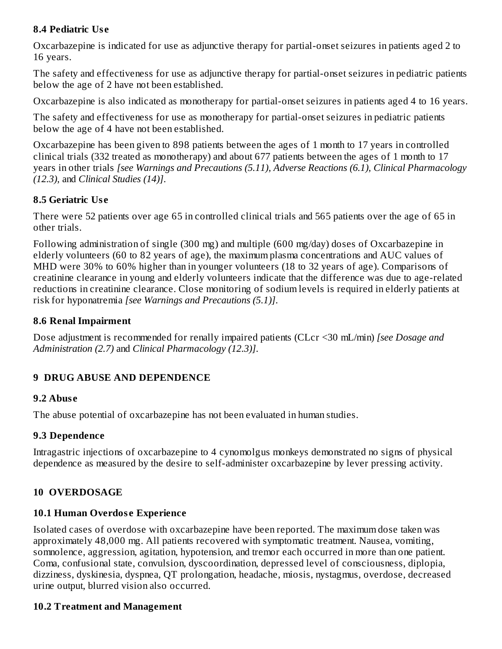### **8.4 Pediatric Us e**

Oxcarbazepine is indicated for use as adjunctive therapy for partial-onset seizures in patients aged 2 to 16 years.

The safety and effectiveness for use as adjunctive therapy for partial-onset seizures in pediatric patients below the age of 2 have not been established.

Oxcarbazepine is also indicated as monotherapy for partial-onset seizures in patients aged 4 to 16 years.

The safety and effectiveness for use as monotherapy for partial-onset seizures in pediatric patients below the age of 4 have not been established.

Oxcarbazepine has been given to 898 patients between the ages of 1 month to 17 years in controlled clinical trials (332 treated as monotherapy) and about 677 patients between the ages of 1 month to 17 years in other trials *[see Warnings and Precautions (5.11), Adverse Reactions (6.1), Clinical Pharmacology (12.3),* and *Clinical Studies (14)]*.

### **8.5 Geriatric Us e**

There were 52 patients over age 65 in controlled clinical trials and 565 patients over the age of 65 in other trials.

Following administration of single (300 mg) and multiple (600 mg/day) doses of Oxcarbazepine in elderly volunteers (60 to 82 years of age), the maximum plasma concentrations and AUC values of MHD were 30% to 60% higher than in younger volunteers (18 to 32 years of age). Comparisons of creatinine clearance in young and elderly volunteers indicate that the difference was due to age-related reductions in creatinine clearance. Close monitoring of sodium levels is required in elderly patients at risk for hyponatremia *[see Warnings and Precautions (5.1)]*.

### **8.6 Renal Impairment**

Dose adjustment is recommended for renally impaired patients (CLcr <30 mL/min) *[see Dosage and Administration (2.7)* and *Clinical Pharmacology (12.3)]*.

## **9 DRUG ABUSE AND DEPENDENCE**

## **9.2 Abus e**

The abuse potential of oxcarbazepine has not been evaluated in human studies.

### **9.3 Dependence**

Intragastric injections of oxcarbazepine to 4 cynomolgus monkeys demonstrated no signs of physical dependence as measured by the desire to self-administer oxcarbazepine by lever pressing activity.

## **10 OVERDOSAGE**

# **10.1 Human Overdos e Experience**

Isolated cases of overdose with oxcarbazepine have been reported. The maximum dose taken was approximately 48,000 mg. All patients recovered with symptomatic treatment. Nausea, vomiting, somnolence, aggression, agitation, hypotension, and tremor each occurred in more than one patient. Coma, confusional state, convulsion, dyscoordination, depressed level of consciousness, diplopia, dizziness, dyskinesia, dyspnea, QT prolongation, headache, miosis, nystagmus, overdose, decreased urine output, blurred vision also occurred.

# **10.2 Treatment and Management**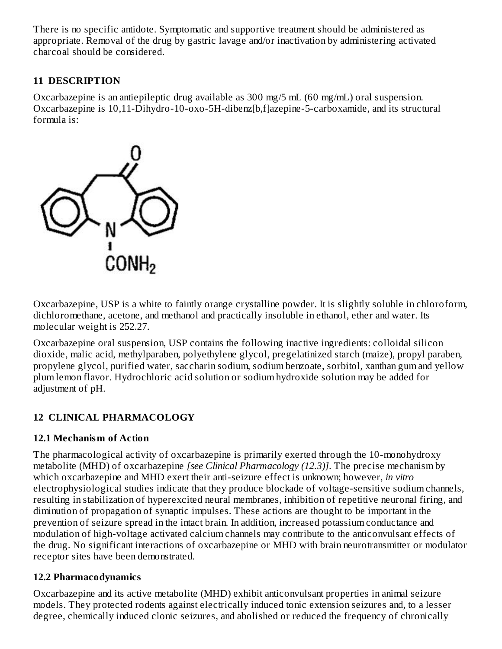There is no specific antidote. Symptomatic and supportive treatment should be administered as appropriate. Removal of the drug by gastric lavage and/or inactivation by administering activated charcoal should be considered.

# **11 DESCRIPTION**

Oxcarbazepine is an antiepileptic drug available as 300 mg/5 mL (60 mg/mL) oral suspension. Oxcarbazepine is 10,11-Dihydro-10-oxo-5H-dibenz[b,f]azepine-5-carboxamide, and its structural formula is:



Oxcarbazepine, USP is a white to faintly orange crystalline powder. It is slightly soluble in chloroform, dichloromethane, acetone, and methanol and practically insoluble in ethanol, ether and water. Its molecular weight is 252.27.

Oxcarbazepine oral suspension, USP contains the following inactive ingredients: colloidal silicon dioxide, malic acid, methylparaben, polyethylene glycol, pregelatinized starch (maize), propyl paraben, propylene glycol, purified water, saccharin sodium, sodium benzoate, sorbitol, xanthan gum and yellow plum lemon flavor. Hydrochloric acid solution or sodium hydroxide solution may be added for adjustment of pH.

# **12 CLINICAL PHARMACOLOGY**

## **12.1 Mechanism of Action**

The pharmacological activity of oxcarbazepine is primarily exerted through the 10-monohydroxy metabolite (MHD) of oxcarbazepine *[see Clinical Pharmacology (12.3)]*. The precise mechanism by which oxcarbazepine and MHD exert their anti-seizure effect is unknown; however, *in vitro* electrophysiological studies indicate that they produce blockade of voltage-sensitive sodium channels, resulting in stabilization of hyperexcited neural membranes, inhibition of repetitive neuronal firing, and diminution of propagation of synaptic impulses. These actions are thought to be important in the prevention of seizure spread in the intact brain. In addition, increased potassium conductance and modulation of high-voltage activated calcium channels may contribute to the anticonvulsant effects of the drug. No significant interactions of oxcarbazepine or MHD with brain neurotransmitter or modulator receptor sites have been demonstrated.

# **12.2 Pharmacodynamics**

Oxcarbazepine and its active metabolite (MHD) exhibit anticonvulsant properties in animal seizure models. They protected rodents against electrically induced tonic extension seizures and, to a lesser degree, chemically induced clonic seizures, and abolished or reduced the frequency of chronically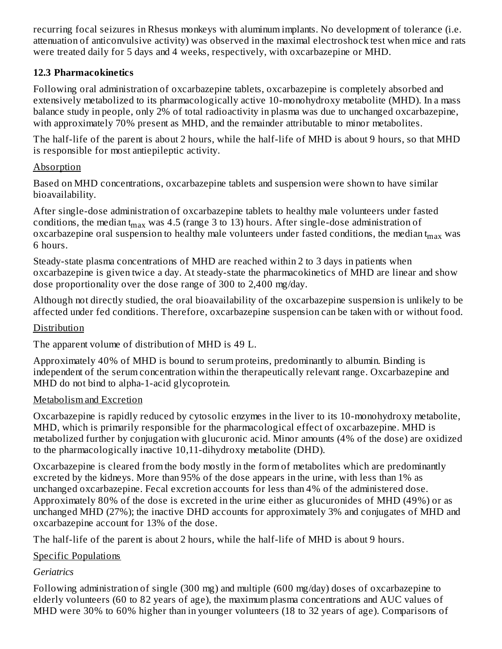recurring focal seizures in Rhesus monkeys with aluminum implants. No development of tolerance (i.e. attenuation of anticonvulsive activity) was observed in the maximal electroshock test when mice and rats were treated daily for 5 days and 4 weeks, respectively, with oxcarbazepine or MHD.

### **12.3 Pharmacokinetics**

Following oral administration of oxcarbazepine tablets, oxcarbazepine is completely absorbed and extensively metabolized to its pharmacologically active 10-monohydroxy metabolite (MHD). In a mass balance study in people, only 2% of total radioactivity in plasma was due to unchanged oxcarbazepine, with approximately 70% present as MHD, and the remainder attributable to minor metabolites.

The half-life of the parent is about 2 hours, while the half-life of MHD is about 9 hours, so that MHD is responsible for most antiepileptic activity.

### Absorption

Based on MHD concentrations, oxcarbazepine tablets and suspension were shown to have similar bioavailability.

After single-dose administration of oxcarbazepine tablets to healthy male volunteers under fasted conditions, the median t<sub>max</sub> was 4.5 (range 3 to 13) hours. After single-dose administration of oxcarbazepine oral suspension to healthy male volunteers under fasted conditions, the median t $_{\rm max}$  was 6 hours.

Steady-state plasma concentrations of MHD are reached within 2 to 3 days in patients when oxcarbazepine is given twice a day. At steady-state the pharmacokinetics of MHD are linear and show dose proportionality over the dose range of 300 to 2,400 mg/day.

Although not directly studied, the oral bioavailability of the oxcarbazepine suspension is unlikely to be affected under fed conditions. Therefore, oxcarbazepine suspension can be taken with or without food.

### Distribution

The apparent volume of distribution of MHD is 49 L.

Approximately 40% of MHD is bound to serum proteins, predominantly to albumin. Binding is independent of the serum concentration within the therapeutically relevant range. Oxcarbazepine and MHD do not bind to alpha-1-acid glycoprotein.

### Metabolism and Excretion

Oxcarbazepine is rapidly reduced by cytosolic enzymes in the liver to its 10-monohydroxy metabolite, MHD, which is primarily responsible for the pharmacological effect of oxcarbazepine. MHD is metabolized further by conjugation with glucuronic acid. Minor amounts (4% of the dose) are oxidized to the pharmacologically inactive 10,11-dihydroxy metabolite (DHD).

Oxcarbazepine is cleared from the body mostly in the form of metabolites which are predominantly excreted by the kidneys. More than 95% of the dose appears in the urine, with less than 1% as unchanged oxcarbazepine. Fecal excretion accounts for less than 4% of the administered dose. Approximately 80% of the dose is excreted in the urine either as glucuronides of MHD (49%) or as unchanged MHD (27%); the inactive DHD accounts for approximately 3% and conjugates of MHD and oxcarbazepine account for 13% of the dose.

The half-life of the parent is about 2 hours, while the half-life of MHD is about 9 hours.

## Specific Populations

## *Geriatrics*

Following administration of single (300 mg) and multiple (600 mg/day) doses of oxcarbazepine to elderly volunteers (60 to 82 years of age), the maximum plasma concentrations and AUC values of MHD were 30% to 60% higher than in younger volunteers (18 to 32 years of age). Comparisons of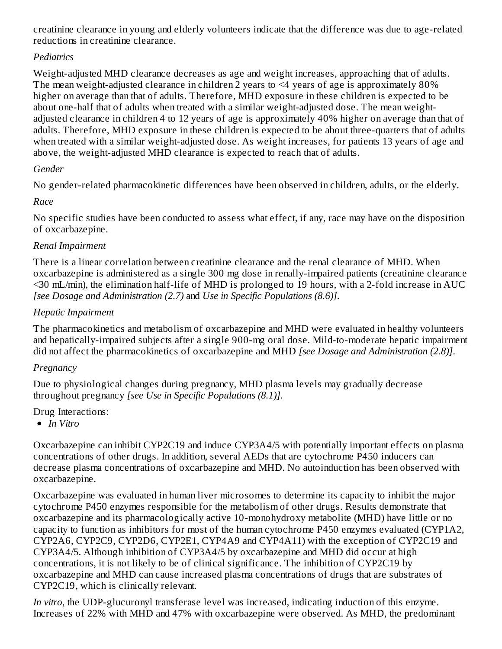creatinine clearance in young and elderly volunteers indicate that the difference was due to age-related reductions in creatinine clearance.

## *Pediatrics*

Weight-adjusted MHD clearance decreases as age and weight increases, approaching that of adults. The mean weight-adjusted clearance in children 2 years to <4 years of age is approximately 80% higher on average than that of adults. Therefore, MHD exposure in these children is expected to be about one-half that of adults when treated with a similar weight-adjusted dose. The mean weightadjusted clearance in children 4 to 12 years of age is approximately 40% higher on average than that of adults. Therefore, MHD exposure in these children is expected to be about three-quarters that of adults when treated with a similar weight-adjusted dose. As weight increases, for patients 13 years of age and above, the weight-adjusted MHD clearance is expected to reach that of adults.

# *Gender*

No gender-related pharmacokinetic differences have been observed in children, adults, or the elderly.

# *Race*

No specific studies have been conducted to assess what effect, if any, race may have on the disposition of oxcarbazepine.

# *Renal Impairment*

There is a linear correlation between creatinine clearance and the renal clearance of MHD. When oxcarbazepine is administered as a single 300 mg dose in renally-impaired patients (creatinine clearance <30 mL/min), the elimination half-life of MHD is prolonged to 19 hours, with a 2-fold increase in AUC *[see Dosage and Administration (2.7)* and *Use in Specific Populations (8.6)]*.

# *Hepatic Impairment*

The pharmacokinetics and metabolism of oxcarbazepine and MHD were evaluated in healthy volunteers and hepatically-impaired subjects after a single 900-mg oral dose. Mild-to-moderate hepatic impairment did not affect the pharmacokinetics of oxcarbazepine and MHD *[see Dosage and Administration (2.8)]*.

# *Pregnancy*

Due to physiological changes during pregnancy, MHD plasma levels may gradually decrease throughout pregnancy *[see Use in Specific Populations (8.1)].*

# Drug Interactions:

*In Vitro*

Oxcarbazepine can inhibit CYP2C19 and induce CYP3A4/5 with potentially important effects on plasma concentrations of other drugs. In addition, several AEDs that are cytochrome P450 inducers can decrease plasma concentrations of oxcarbazepine and MHD. No autoinduction has been observed with oxcarbazepine.

Oxcarbazepine was evaluated in human liver microsomes to determine its capacity to inhibit the major cytochrome P450 enzymes responsible for the metabolism of other drugs. Results demonstrate that oxcarbazepine and its pharmacologically active 10-monohydroxy metabolite (MHD) have little or no capacity to function as inhibitors for most of the human cytochrome P450 enzymes evaluated (CYP1A2, CYP2A6, CYP2C9, CYP2D6, CYP2E1, CYP4A9 and CYP4A11) with the exception of CYP2C19 and CYP3A4/5. Although inhibition of CYP3A4/5 by oxcarbazepine and MHD did occur at high concentrations, it is not likely to be of clinical significance. The inhibition of CYP2C19 by oxcarbazepine and MHD can cause increased plasma concentrations of drugs that are substrates of CYP2C19, which is clinically relevant.

*In vitro*, the UDP-glucuronyl transferase level was increased, indicating induction of this enzyme. Increases of 22% with MHD and 47% with oxcarbazepine were observed. As MHD, the predominant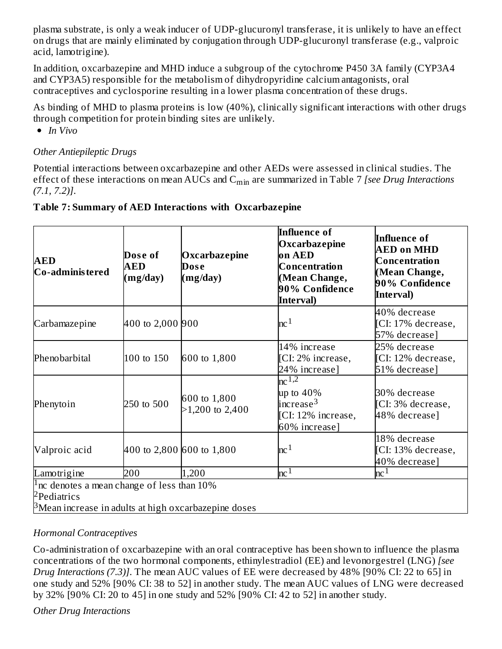plasma substrate, is only a weak inducer of UDP-glucuronyl transferase, it is unlikely to have an effect on drugs that are mainly eliminated by conjugation through UDP-glucuronyl transferase (e.g., valproic acid, lamotrigine).

In addition, oxcarbazepine and MHD induce a subgroup of the cytochrome P450 3A family (CYP3A4 and CYP3A5) responsible for the metabolism of dihydropyridine calcium antagonists, oral contraceptives and cyclosporine resulting in a lower plasma concentration of these drugs.

As binding of MHD to plasma proteins is low (40%), clinically significant interactions with other drugs through competition for protein binding sites are unlikely.

*In Vivo*

### *Other Antiepileptic Drugs*

Potential interactions between oxcarbazepine and other AEDs were assessed in clinical studies. The effect of these interactions on mean AUCs and C<sub>min</sub> are summarized in Table 7 *[see Drug Interactions (7.1, 7.2)]*.

| <b>AED</b><br>Co-administered                                                                                                                       | Dose of<br><b>AED</b><br>(mg/day) | Oxcarbazepine<br>Dose<br>(mg/day) | <b>Influence of</b><br>Oxcarbazepine<br>on AED<br>Concentration<br>(Mean Change,<br>90% Confidence<br>Interval) | <b>Influence of</b><br><b>AED on MHD</b><br><b>Concentration</b><br>(Mean Change,<br>90% Confidence<br>Interval) |
|-----------------------------------------------------------------------------------------------------------------------------------------------------|-----------------------------------|-----------------------------------|-----------------------------------------------------------------------------------------------------------------|------------------------------------------------------------------------------------------------------------------|
| Carbamazepine                                                                                                                                       | 400 to 2,000 900                  |                                   | $nc^{1}$                                                                                                        | 40% decrease<br>[CI: 17% decrease,<br>57% decrease]                                                              |
| Phenobarbital                                                                                                                                       | 100 to 150                        | 600 to 1,800                      | 14% increase<br>[CI: 2% increase,<br>24% increase]                                                              | 25% decrease<br>[CI: 12% decrease,<br>51% decrease]                                                              |
| Phenytoin                                                                                                                                           | 250 to 500                        | 600 to 1,800<br>$>1,200$ to 2,400 | $nc^{\overline{1,2}}$<br>up to $40\%$<br>increase <sup>3</sup><br>[CI: 12% increase,<br>60% increase]           | 30% decrease<br>[CI: 3% decrease,<br>48% decrease]                                                               |
| Valproic acid                                                                                                                                       | 400 to 2,800 600 to 1,800         |                                   | nc <sup>1</sup>                                                                                                 | 18% decrease<br>[CI: 13% decrease,<br>40% decrease]                                                              |
| Lamotrigine                                                                                                                                         | 200                               | 1,200                             | nc <sup>1</sup>                                                                                                 | nc <sup>1</sup>                                                                                                  |
| <sup>1</sup> nc denotes a mean change of less than $10\%$<br><sup>2</sup> Pediatrics<br>$\beta$ Mean increase in adults at high oxcarbazepine doses |                                   |                                   |                                                                                                                 |                                                                                                                  |

### **Table 7: Summary of AED Interactions with Oxcarbazepine**

### *Hormonal Contraceptives*

Co-administration of oxcarbazepine with an oral contraceptive has been shown to influence the plasma concentrations of the two hormonal components, ethinylestradiol (EE) and levonorgestrel (LNG) *[see Drug Interactions (7.3)]*. The mean AUC values of EE were decreased by 48% [90% CI: 22 to 65] in one study and 52% [90% CI: 38 to 52] in another study. The mean AUC values of LNG were decreased by 32% [90% CI: 20 to 45] in one study and 52% [90% CI: 42 to 52] in another study.

### *Other Drug Interactions*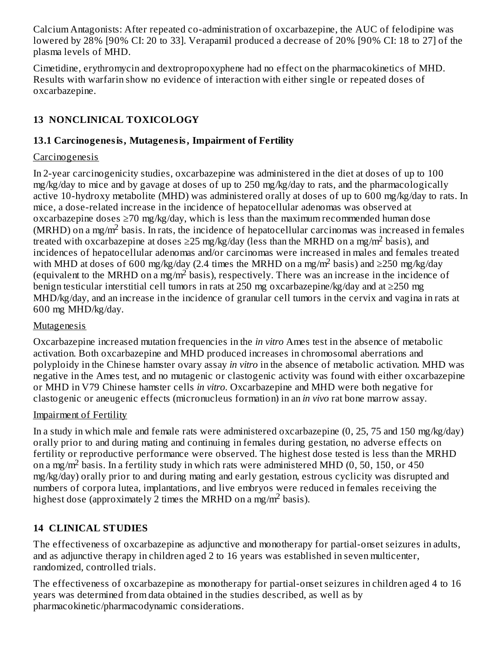Calcium Antagonists: After repeated co-administration of oxcarbazepine, the AUC of felodipine was lowered by 28% [90% CI: 20 to 33]. Verapamil produced a decrease of 20% [90% CI: 18 to 27] of the plasma levels of MHD.

Cimetidine, erythromycin and dextropropoxyphene had no effect on the pharmacokinetics of MHD. Results with warfarin show no evidence of interaction with either single or repeated doses of oxcarbazepine.

# **13 NONCLINICAL TOXICOLOGY**

### **13.1 Carcinogenesis, Mutagenesis, Impairment of Fertility**

### Carcinogenesis

In 2-year carcinogenicity studies, oxcarbazepine was administered in the diet at doses of up to 100 mg/kg/day to mice and by gavage at doses of up to 250 mg/kg/day to rats, and the pharmacologically active 10-hydroxy metabolite (MHD) was administered orally at doses of up to 600 mg/kg/day to rats. In mice, a dose-related increase in the incidence of hepatocellular adenomas was observed at oxcarbazepine doses  $\geq$ 70 mg/kg/day, which is less than the maximum recommended human dose  $(MRHD)$  on a mg/m<sup>2</sup> basis. In rats, the incidence of hepatocellular carcinomas was increased in females treated with oxcarbazepine at doses  $\geq$ 25 mg/kg/day (less than the MRHD on a mg/m<sup>2</sup> basis), and incidences of hepatocellular adenomas and/or carcinomas were increased in males and females treated with MHD at doses of 600 mg/kg/day (2.4 times the MRHD on a mg/m<sup>2</sup> basis) and  $\geq$ 250 mg/kg/day (equivalent to the MRHD on a mg/m<sup>2</sup> basis), respectively. There was an increase in the incidence of benign testicular interstitial cell tumors in rats at 250 mg oxcarbazepine/kg/day and at ≥250 mg MHD/kg/day, and an increase in the incidence of granular cell tumors in the cervix and vagina in rats at 600 mg MHD/kg/day.

### Mutagenesis

Oxcarbazepine increased mutation frequencies in the *in vitro* Ames test in the absence of metabolic activation. Both oxcarbazepine and MHD produced increases in chromosomal aberrations and polyploidy in the Chinese hamster ovary assay *in vitro* in the absence of metabolic activation. MHD was negative in the Ames test, and no mutagenic or clastogenic activity was found with either oxcarbazepine or MHD in V79 Chinese hamster cells *in vitro*. Oxcarbazepine and MHD were both negative for clastogenic or aneugenic effects (micronucleus formation) in an *in vivo* rat bone marrow assay.

### Impairment of Fertility

In a study in which male and female rats were administered oxcarbazepine (0, 25, 75 and 150 mg/kg/day) orally prior to and during mating and continuing in females during gestation, no adverse effects on fertility or reproductive performance were observed. The highest dose tested is less than the MRHD on a mg/m<sup>2</sup> basis. In a fertility study in which rats were administered MHD (0, 50, 150, or 450 mg/kg/day) orally prior to and during mating and early gestation, estrous cyclicity was disrupted and numbers of corpora lutea, implantations, and live embryos were reduced in females receiving the highest dose (approximately 2 times the MRHD on a mg/m<sup>2</sup> basis).

# **14 CLINICAL STUDIES**

The effectiveness of oxcarbazepine as adjunctive and monotherapy for partial-onset seizures in adults, and as adjunctive therapy in children aged 2 to 16 years was established in seven multicenter, randomized, controlled trials.

The effectiveness of oxcarbazepine as monotherapy for partial-onset seizures in children aged 4 to 16 years was determined from data obtained in the studies described, as well as by pharmacokinetic/pharmacodynamic considerations.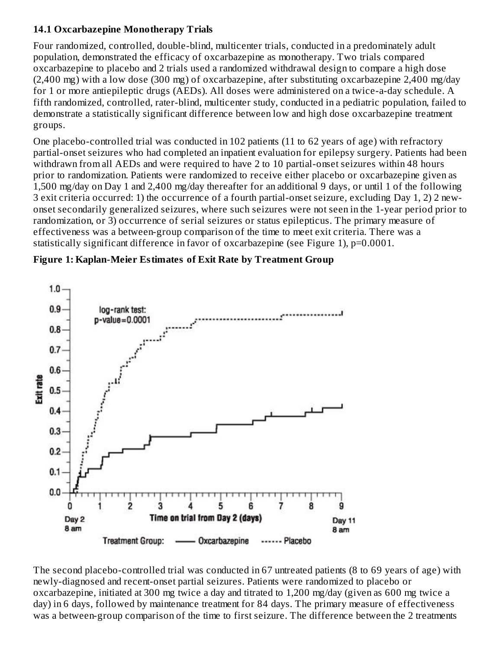### **14.1 Oxcarbazepine Monotherapy Trials**

Four randomized, controlled, double-blind, multicenter trials, conducted in a predominately adult population, demonstrated the efficacy of oxcarbazepine as monotherapy. Two trials compared oxcarbazepine to placebo and 2 trials used a randomized withdrawal design to compare a high dose (2,400 mg) with a low dose (300 mg) of oxcarbazepine, after substituting oxcarbazepine 2,400 mg/day for 1 or more antiepileptic drugs (AEDs). All doses were administered on a twice-a-day schedule. A fifth randomized, controlled, rater-blind, multicenter study, conducted in a pediatric population, failed to demonstrate a statistically significant difference between low and high dose oxcarbazepine treatment groups.

One placebo-controlled trial was conducted in 102 patients (11 to 62 years of age) with refractory partial-onset seizures who had completed an inpatient evaluation for epilepsy surgery. Patients had been withdrawn from all AEDs and were required to have 2 to 10 partial-onset seizures within 48 hours prior to randomization. Patients were randomized to receive either placebo or oxcarbazepine given as 1,500 mg/day on Day 1 and 2,400 mg/day thereafter for an additional 9 days, or until 1 of the following 3 exit criteria occurred: 1) the occurrence of a fourth partial-onset seizure, excluding Day 1, 2) 2 newonset secondarily generalized seizures, where such seizures were not seen in the 1-year period prior to randomization, or 3) occurrence of serial seizures or status epilepticus. The primary measure of effectiveness was a between-group comparison of the time to meet exit criteria. There was a statistically significant difference in favor of oxcarbazepine (see Figure 1), p=0.0001.

### **Figure 1: Kaplan-Meier Estimates of Exit Rate by Treatment Group**



The second placebo-controlled trial was conducted in 67 untreated patients (8 to 69 years of age) with newly-diagnosed and recent-onset partial seizures. Patients were randomized to placebo or oxcarbazepine, initiated at 300 mg twice a day and titrated to 1,200 mg/day (given as 600 mg twice a day) in 6 days, followed by maintenance treatment for 84 days. The primary measure of effectiveness was a between-group comparison of the time to first seizure. The difference between the 2 treatments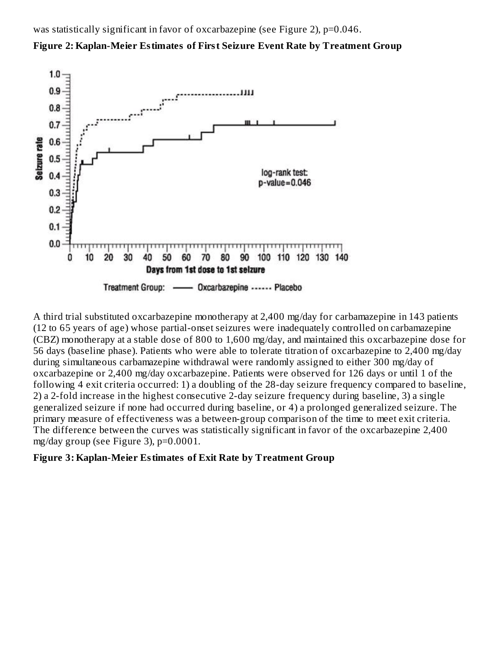was statistically significant in favor of oxcarbazepine (see Figure 2), p=0.046.





A third trial substituted oxcarbazepine monotherapy at 2,400 mg/day for carbamazepine in 143 patients (12 to 65 years of age) whose partial-onset seizures were inadequately controlled on carbamazepine (CBZ) monotherapy at a stable dose of 800 to 1,600 mg/day, and maintained this oxcarbazepine dose for 56 days (baseline phase). Patients who were able to tolerate titration of oxcarbazepine to 2,400 mg/day during simultaneous carbamazepine withdrawal were randomly assigned to either 300 mg/day of oxcarbazepine or 2,400 mg/day oxcarbazepine. Patients were observed for 126 days or until 1 of the following 4 exit criteria occurred: 1) a doubling of the 28-day seizure frequency compared to baseline, 2) a 2-fold increase in the highest consecutive 2-day seizure frequency during baseline, 3) a single generalized seizure if none had occurred during baseline, or 4) a prolonged generalized seizure. The primary measure of effectiveness was a between-group comparison of the time to meet exit criteria. The difference between the curves was statistically significant in favor of the oxcarbazepine 2,400 mg/day group (see Figure 3), p=0.0001.

### **Figure 3: Kaplan-Meier Estimates of Exit Rate by Treatment Group**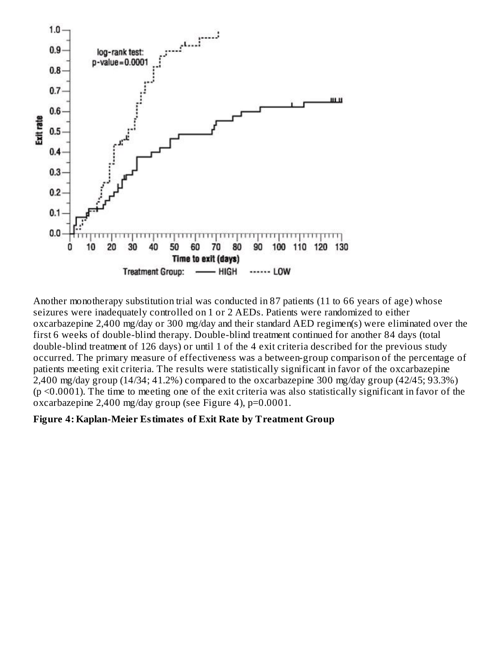

Another monotherapy substitution trial was conducted in 87 patients (11 to 66 years of age) whose seizures were inadequately controlled on 1 or 2 AEDs. Patients were randomized to either oxcarbazepine 2,400 mg/day or 300 mg/day and their standard AED regimen(s) were eliminated over the first 6 weeks of double-blind therapy. Double-blind treatment continued for another 84 days (total double-blind treatment of 126 days) or until 1 of the 4 exit criteria described for the previous study occurred. The primary measure of effectiveness was a between-group comparison of the percentage of patients meeting exit criteria. The results were statistically significant in favor of the oxcarbazepine 2,400 mg/day group (14/34; 41.2%) compared to the oxcarbazepine 300 mg/day group (42/45; 93.3%) (p <0.0001). The time to meeting one of the exit criteria was also statistically significant in favor of the oxcarbazepine 2,400 mg/day group (see Figure 4), p=0.0001.

### **Figure 4: Kaplan-Meier Estimates of Exit Rate by Treatment Group**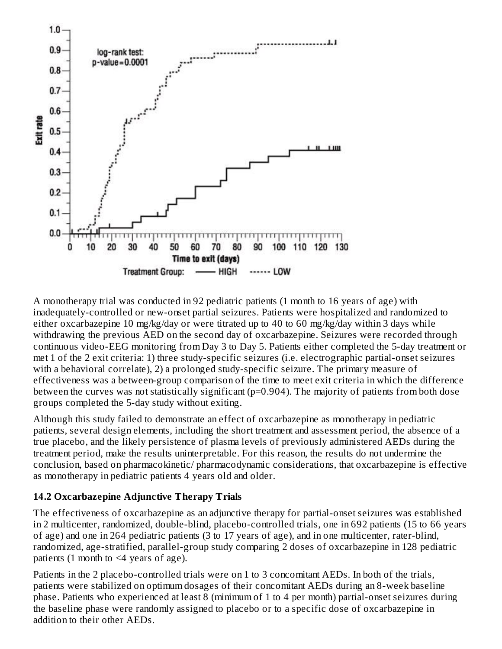

A monotherapy trial was conducted in 92 pediatric patients (1 month to 16 years of age) with inadequately-controlled or new-onset partial seizures. Patients were hospitalized and randomized to either oxcarbazepine 10 mg/kg/day or were titrated up to 40 to 60 mg/kg/day within 3 days while withdrawing the previous AED on the second day of oxcarbazepine. Seizures were recorded through continuous video-EEG monitoring from Day 3 to Day 5. Patients either completed the 5-day treatment or met 1 of the 2 exit criteria: 1) three study-specific seizures (i.e. electrographic partial-onset seizures with a behavioral correlate), 2) a prolonged study-specific seizure. The primary measure of effectiveness was a between-group comparison of the time to meet exit criteria in which the difference between the curves was not statistically significant (p=0.904). The majority of patients from both dose groups completed the 5-day study without exiting.

Although this study failed to demonstrate an effect of oxcarbazepine as monotherapy in pediatric patients, several design elements, including the short treatment and assessment period, the absence of a true placebo, and the likely persistence of plasma levels of previously administered AEDs during the treatment period, make the results uninterpretable. For this reason, the results do not undermine the conclusion, based on pharmacokinetic/ pharmacodynamic considerations, that oxcarbazepine is effective as monotherapy in pediatric patients 4 years old and older.

## **14.2 Oxcarbazepine Adjunctive Therapy Trials**

The effectiveness of oxcarbazepine as an adjunctive therapy for partial-onset seizures was established in 2 multicenter, randomized, double-blind, placebo-controlled trials, one in 692 patients (15 to 66 years of age) and one in 264 pediatric patients (3 to 17 years of age), and in one multicenter, rater-blind, randomized, age-stratified, parallel-group study comparing 2 doses of oxcarbazepine in 128 pediatric patients (1 month to  $\leq 4$  years of age).

Patients in the 2 placebo-controlled trials were on 1 to 3 concomitant AEDs. In both of the trials, patients were stabilized on optimum dosages of their concomitant AEDs during an 8-week baseline phase. Patients who experienced at least 8 (minimum of 1 to 4 per month) partial-onset seizures during the baseline phase were randomly assigned to placebo or to a specific dose of oxcarbazepine in addition to their other AEDs.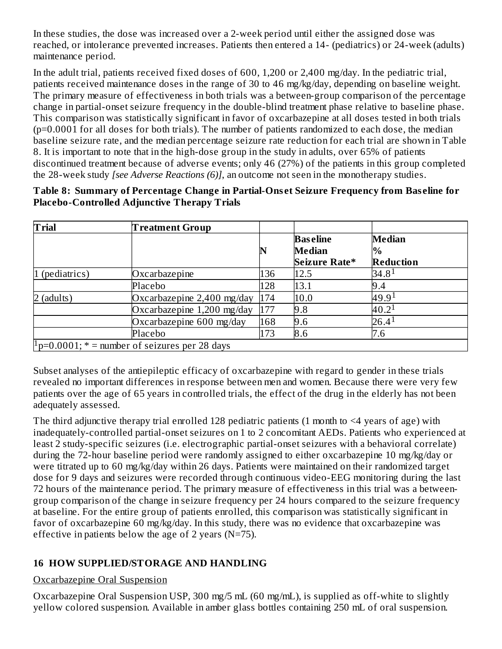In these studies, the dose was increased over a 2-week period until either the assigned dose was reached, or intolerance prevented increases. Patients then entered a 14- (pediatrics) or 24-week (adults) maintenance period.

In the adult trial, patients received fixed doses of 600, 1,200 or 2,400 mg/day. In the pediatric trial, patients received maintenance doses in the range of 30 to 46 mg/kg/day, depending on baseline weight. The primary measure of effectiveness in both trials was a between-group comparison of the percentage change in partial-onset seizure frequency in the double-blind treatment phase relative to baseline phase. This comparison was statistically significant in favor of oxcarbazepine at all doses tested in both trials (p=0.0001 for all doses for both trials). The number of patients randomized to each dose, the median baseline seizure rate, and the median percentage seizure rate reduction for each trial are shown in Table 8. It is important to note that in the high-dose group in the study in adults, over 65% of patients discontinued treatment because of adverse events; only 46 (27%) of the patients in this group completed the 28-week study *[see Adverse Reactions (6)]*, an outcome not seen in the monotherapy studies.

| Table 8: Summary of Percentage Change in Partial-Onset Seizure Frequency from Baseline for |  |
|--------------------------------------------------------------------------------------------|--|
| <b>Placebo-Controlled Adjunctive Therapy Trials</b>                                        |  |

| <b>Trial</b>   | <b>Treatment Group</b>                                   |     |                 |                  |
|----------------|----------------------------------------------------------|-----|-----------------|------------------|
|                |                                                          |     | <b>Baseline</b> | <b>Median</b>    |
|                |                                                          |     | <b>Median</b>   | l%               |
|                |                                                          |     | Seizure Rate*   | <b>Reduction</b> |
| 1 (pediatrics) | Oxcarbazepine                                            | 136 | 12.5            | $34.8^1$         |
|                | Placebo                                                  | 128 | 13.1            | 9.4              |
| $2$ (adults)   | Oxcarbazepine 2,400 mg/day                               | 174 | 10.0            | 49.91            |
|                | Oxcarbazepine 1,200 mg/day                               | 177 | 9.8             | $40.2^1$         |
|                | Oxcarbazepine 600 mg/day                                 | 168 | 9.6             | $26.4^1$         |
|                | Placebo                                                  | 173 | 8.6             | 7.6              |
|                | $\mu_{\rm p=0.0001; *}$ = number of seizures per 28 days |     |                 |                  |

Subset analyses of the antiepileptic efficacy of oxcarbazepine with regard to gender in these trials revealed no important differences in response between men and women. Because there were very few patients over the age of 65 years in controlled trials, the effect of the drug in the elderly has not been adequately assessed.

The third adjunctive therapy trial enrolled 128 pediatric patients (1 month to  $\leq 4$  years of age) with inadequately-controlled partial-onset seizures on 1 to 2 concomitant AEDs. Patients who experienced at least 2 study-specific seizures (i.e. electrographic partial-onset seizures with a behavioral correlate) during the 72-hour baseline period were randomly assigned to either oxcarbazepine 10 mg/kg/day or were titrated up to 60 mg/kg/day within 26 days. Patients were maintained on their randomized target dose for 9 days and seizures were recorded through continuous video-EEG monitoring during the last 72 hours of the maintenance period. The primary measure of effectiveness in this trial was a betweengroup comparison of the change in seizure frequency per 24 hours compared to the seizure frequency at baseline. For the entire group of patients enrolled, this comparison was statistically significant in favor of oxcarbazepine 60 mg/kg/day. In this study, there was no evidence that oxcarbazepine was effective in patients below the age of 2 years ( $N=75$ ).

## **16 HOW SUPPLIED/STORAGE AND HANDLING**

### Oxcarbazepine Oral Suspension

Oxcarbazepine Oral Suspension USP, 300 mg/5 mL (60 mg/mL), is supplied as off-white to slightly yellow colored suspension. Available in amber glass bottles containing 250 mL of oral suspension.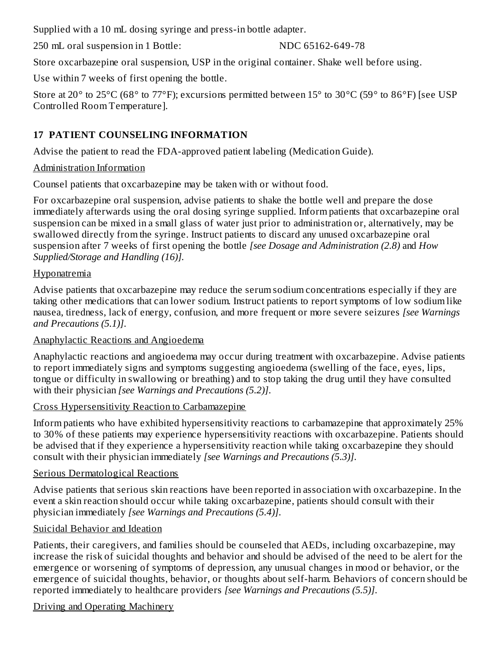Supplied with a 10 mL dosing syringe and press-in bottle adapter.

250 mL oral suspension in 1 Bottle: NDC 65162-649-78

Store oxcarbazepine oral suspension, USP in the original container. Shake well before using.

Use within 7 weeks of first opening the bottle.

Store at 20° to 25°C (68° to 77°F); excursions permitted between 15° to 30°C (59° to 86°F) [see USP Controlled Room Temperature].

# **17 PATIENT COUNSELING INFORMATION**

Advise the patient to read the FDA-approved patient labeling (Medication Guide).

# Administration Information

Counsel patients that oxcarbazepine may be taken with or without food.

For oxcarbazepine oral suspension, advise patients to shake the bottle well and prepare the dose immediately afterwards using the oral dosing syringe supplied. Inform patients that oxcarbazepine oral suspension can be mixed in a small glass of water just prior to administration or, alternatively, may be swallowed directly from the syringe. Instruct patients to discard any unused oxcarbazepine oral suspension after 7 weeks of first opening the bottle *[see Dosage and Administration (2.8)* and *How Supplied/Storage and Handling (16)].*

# Hyponatremia

Advise patients that oxcarbazepine may reduce the serum sodium concentrations especially if they are taking other medications that can lower sodium. Instruct patients to report symptoms of low sodium like nausea, tiredness, lack of energy, confusion, and more frequent or more severe seizures *[see Warnings and Precautions (5.1)]*.

# Anaphylactic Reactions and Angioedema

Anaphylactic reactions and angioedema may occur during treatment with oxcarbazepine. Advise patients to report immediately signs and symptoms suggesting angioedema (swelling of the face, eyes, lips, tongue or difficulty in swallowing or breathing) and to stop taking the drug until they have consulted with their physician *[see Warnings and Precautions (5.2)]*.

## Cross Hypersensitivity Reaction to Carbamazepine

Inform patients who have exhibited hypersensitivity reactions to carbamazepine that approximately 25% to 30% of these patients may experience hypersensitivity reactions with oxcarbazepine. Patients should be advised that if they experience a hypersensitivity reaction while taking oxcarbazepine they should consult with their physician immediately *[see Warnings and Precautions (5.3)]*.

# Serious Dermatological Reactions

Advise patients that serious skin reactions have been reported in association with oxcarbazepine. In the event a skin reaction should occur while taking oxcarbazepine, patients should consult with their physician immediately *[see Warnings and Precautions (5.4)]*.

# Suicidal Behavior and Ideation

Patients, their caregivers, and families should be counseled that AEDs, including oxcarbazepine, may increase the risk of suicidal thoughts and behavior and should be advised of the need to be alert for the emergence or worsening of symptoms of depression, any unusual changes in mood or behavior, or the emergence of suicidal thoughts, behavior, or thoughts about self-harm. Behaviors of concern should be reported immediately to healthcare providers *[see Warnings and Precautions (5.5)]*.

# Driving and Operating Machinery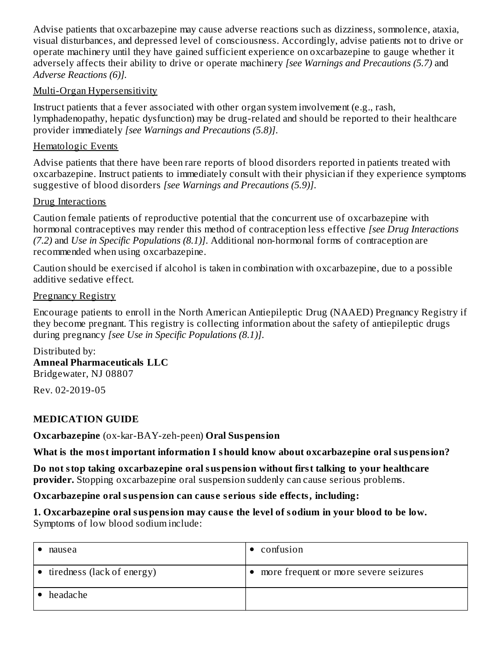Advise patients that oxcarbazepine may cause adverse reactions such as dizziness, somnolence, ataxia, visual disturbances, and depressed level of consciousness. Accordingly, advise patients not to drive or operate machinery until they have gained sufficient experience on oxcarbazepine to gauge whether it adversely affects their ability to drive or operate machinery *[see Warnings and Precautions (5.7)* and *Adverse Reactions (6)].*

### Multi-Organ Hypersensitivity

Instruct patients that a fever associated with other organ system involvement (e.g., rash, lymphadenopathy, hepatic dysfunction) may be drug-related and should be reported to their healthcare provider immediately *[see Warnings and Precautions (5.8)]*.

### Hematologic Events

Advise patients that there have been rare reports of blood disorders reported in patients treated with oxcarbazepine. Instruct patients to immediately consult with their physician if they experience symptoms suggestive of blood disorders *[see Warnings and Precautions (5.9)]*.

### Drug Interactions

Caution female patients of reproductive potential that the concurrent use of oxcarbazepine with hormonal contraceptives may render this method of contraception less effective *[see Drug Interactions (7.2)* and *Use in Specific Populations (8.1)]*. Additional non-hormonal forms of contraception are recommended when using oxcarbazepine.

Caution should be exercised if alcohol is taken in combination with oxcarbazepine, due to a possible additive sedative effect.

### Pregnancy Registry

Encourage patients to enroll in the North American Antiepileptic Drug (NAAED) Pregnancy Registry if they become pregnant. This registry is collecting information about the safety of antiepileptic drugs during pregnancy *[see Use in Specific Populations (8.1)]*.

# Distributed by:

**Amneal Pharmaceuticals LLC** Bridgewater, NJ 08807

Rev. 02-2019-05

### **MEDICATION GUIDE**

**Oxcarbazepine** (ox-kar-BAY-zeh-peen) **Oral Suspension**

**What is the most important information I should know about oxcarbazepine oral suspension?**

**Do not stop taking oxcarbazepine oral suspension without first talking to your healthcare provider.** Stopping oxcarbazepine oral suspension suddenly can cause serious problems.

### **Oxcarbazepine oral suspension can caus e s erious side effects, including:**

### **1. Oxcarbazepine oral suspension may caus e the level of sodium in your blood to be low.** Symptoms of low blood sodium include:

| nausea                               | confusion                             |
|--------------------------------------|---------------------------------------|
| $\bullet$ tiredness (lack of energy) | more frequent or more severe seizures |
| headache                             |                                       |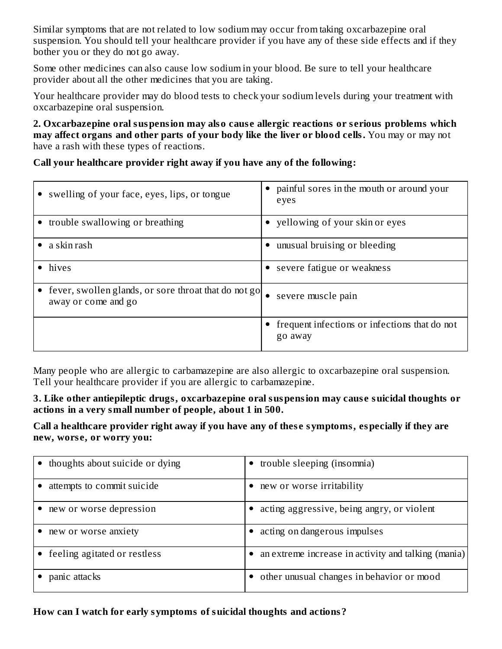Similar symptoms that are not related to low sodium may occur from taking oxcarbazepine oral suspension. You should tell your healthcare provider if you have any of these side effects and if they bother you or they do not go away.

Some other medicines can also cause low sodium in your blood. Be sure to tell your healthcare provider about all the other medicines that you are taking.

Your healthcare provider may do blood tests to check your sodium levels during your treatment with oxcarbazepine oral suspension.

**2. Oxcarbazepine oral suspension may also caus e allergic reactions or s erious problems which may affect organs and other parts of your body like the liver or blood cells.** You may or may not have a rash with these types of reactions.

**Call your healthcare provider right away if you have any of the following:**

| • swelling of your face, eyes, lips, or tongue                              | • painful sores in the mouth or around your<br>eyes        |
|-----------------------------------------------------------------------------|------------------------------------------------------------|
| trouble swallowing or breathing                                             | • yellowing of your skin or eyes                           |
| a skin rash                                                                 | • unusual bruising or bleeding                             |
| hives                                                                       | • severe fatigue or weakness                               |
| fever, swollen glands, or sore throat that do not go<br>away or come and go | severe muscle pain<br>٠                                    |
|                                                                             | • frequent infections or infections that do not<br>go away |

Many people who are allergic to carbamazepine are also allergic to oxcarbazepine oral suspension. Tell your healthcare provider if you are allergic to carbamazepine.

**3. Like other antiepileptic drugs, oxcarbazepine oral suspension may caus e suicidal thoughts or actions in a very small number of people, about 1 in 500.**

**Call a healthcare provider right away if you have any of thes e symptoms, especially if they are new, wors e, or worry you:**

| • thoughts about suicide or dying | trouble sleeping (insomnia)                         |
|-----------------------------------|-----------------------------------------------------|
| attempts to commit suicide        | new or worse irritability                           |
| new or worse depression           | acting aggressive, being angry, or violent          |
| new or worse anxiety              | acting on dangerous impulses                        |
| • feeling agitated or restless    | an extreme increase in activity and talking (mania) |
| panic attacks                     | other unusual changes in behavior or mood           |

**How can I watch for early symptoms of suicidal thoughts and actions?**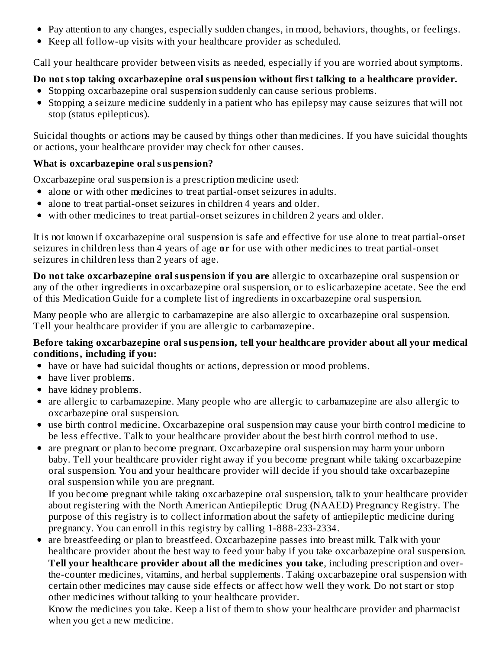- Pay attention to any changes, especially sudden changes, in mood, behaviors, thoughts, or feelings.
- Keep all follow-up visits with your healthcare provider as scheduled.

Call your healthcare provider between visits as needed, especially if you are worried about symptoms.

# **Do not stop taking oxcarbazepine oral suspension without first talking to a healthcare provider.**

- Stopping oxcarbazepine oral suspension suddenly can cause serious problems.
- Stopping a seizure medicine suddenly in a patient who has epilepsy may cause seizures that will not stop (status epilepticus).

Suicidal thoughts or actions may be caused by things other than medicines. If you have suicidal thoughts or actions, your healthcare provider may check for other causes.

## **What is oxcarbazepine oral suspension?**

Oxcarbazepine oral suspension is a prescription medicine used:

- alone or with other medicines to treat partial-onset seizures in adults.
- alone to treat partial-onset seizures in children 4 years and older.
- with other medicines to treat partial-onset seizures in children 2 years and older.

It is not known if oxcarbazepine oral suspension is safe and effective for use alone to treat partial-onset seizures in children less than 4 years of age **or** for use with other medicines to treat partial-onset seizures in children less than 2 years of age.

**Do not take oxcarbazepine oral suspension if you are** allergic to oxcarbazepine oral suspension or any of the other ingredients in oxcarbazepine oral suspension, or to eslicarbazepine acetate. See the end of this Medication Guide for a complete list of ingredients in oxcarbazepine oral suspension.

Many people who are allergic to carbamazepine are also allergic to oxcarbazepine oral suspension. Tell your healthcare provider if you are allergic to carbamazepine.

### **Before taking oxcarbazepine oral suspension, tell your healthcare provider about all your medical conditions, including if you:**

- have or have had suicidal thoughts or actions, depression or mood problems.
- have liver problems.
- have kidney problems.
- are allergic to carbamazepine. Many people who are allergic to carbamazepine are also allergic to oxcarbazepine oral suspension.
- use birth control medicine. Oxcarbazepine oral suspension may cause your birth control medicine to be less effective. Talk to your healthcare provider about the best birth control method to use.
- are pregnant or plan to become pregnant. Oxcarbazepine oral suspension may harm your unborn baby. Tell your healthcare provider right away if you become pregnant while taking oxcarbazepine oral suspension. You and your healthcare provider will decide if you should take oxcarbazepine oral suspension while you are pregnant.

If you become pregnant while taking oxcarbazepine oral suspension, talk to your healthcare provider about registering with the North American Antiepileptic Drug (NAAED) Pregnancy Registry. The purpose of this registry is to collect information about the safety of antiepileptic medicine during pregnancy. You can enroll in this registry by calling 1-888-233-2334.

are breastfeeding or plan to breastfeed. Oxcarbazepine passes into breast milk. Talk with your healthcare provider about the best way to feed your baby if you take oxcarbazepine oral suspension. **Tell your healthcare provider about all the medicines you take**, including prescription and overthe-counter medicines, vitamins, and herbal supplements. Taking oxcarbazepine oral suspension with certain other medicines may cause side effects or affect how well they work. Do not start or stop other medicines without talking to your healthcare provider.

Know the medicines you take. Keep a list of them to show your healthcare provider and pharmacist when you get a new medicine.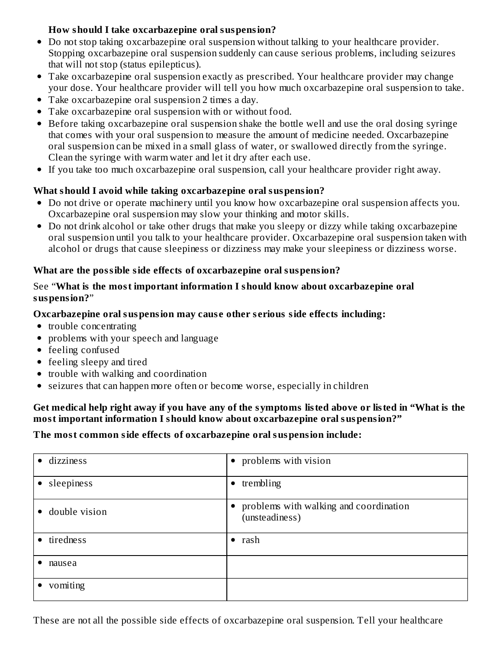### **How should I take oxcarbazepine oral suspension?**

- Do not stop taking oxcarbazepine oral suspension without talking to your healthcare provider. Stopping oxcarbazepine oral suspension suddenly can cause serious problems, including seizures that will not stop (status epilepticus).
- Take oxcarbazepine oral suspension exactly as prescribed. Your healthcare provider may change your dose. Your healthcare provider will tell you how much oxcarbazepine oral suspension to take.
- Take oxcarbazepine oral suspension 2 times a day.
- Take oxcarbazepine oral suspension with or without food.
- Before taking oxcarbazepine oral suspension shake the bottle well and use the oral dosing syringe that comes with your oral suspension to measure the amount of medicine needed. Oxcarbazepine oral suspension can be mixed in a small glass of water, or swallowed directly from the syringe. Clean the syringe with warm water and let it dry after each use.
- If you take too much oxcarbazepine oral suspension, call your healthcare provider right away.

### **What should I avoid while taking oxcarbazepine oral suspension?**

- Do not drive or operate machinery until you know how oxcarbazepine oral suspension affects you. Oxcarbazepine oral suspension may slow your thinking and motor skills.
- Do not drink alcohol or take other drugs that make you sleepy or dizzy while taking oxcarbazepine oral suspension until you talk to your healthcare provider. Oxcarbazepine oral suspension taken with alcohol or drugs that cause sleepiness or dizziness may make your sleepiness or dizziness worse.

### **What are the possible side effects of oxcarbazepine oral suspension?**

### See "**What is the most important information I should know about oxcarbazepine oral suspension?**"

### **Oxcarbazepine oral suspension may caus e other s erious side effects including:**

- trouble concentrating
- problems with your speech and language
- feeling confused
- feeling sleepy and tired
- trouble with walking and coordination
- seizures that can happen more often or become worse, especially in children

### Get medical help right away if you have any of the symptoms listed above or listed in "What is the **most important information I should know about oxcarbazepine oral suspension?"**

### **The most common side effects of oxcarbazepine oral suspension include:**

| · dizziness     | • problems with vision                                     |
|-----------------|------------------------------------------------------------|
| • sleepiness    | $\bullet$ trembling                                        |
| • double vision | • problems with walking and coordination<br>(unsteadiness) |
| • tiredness     | $\bullet$ rash                                             |
| nausea          |                                                            |
| vomiting        |                                                            |

These are not all the possible side effects of oxcarbazepine oral suspension. Tell your healthcare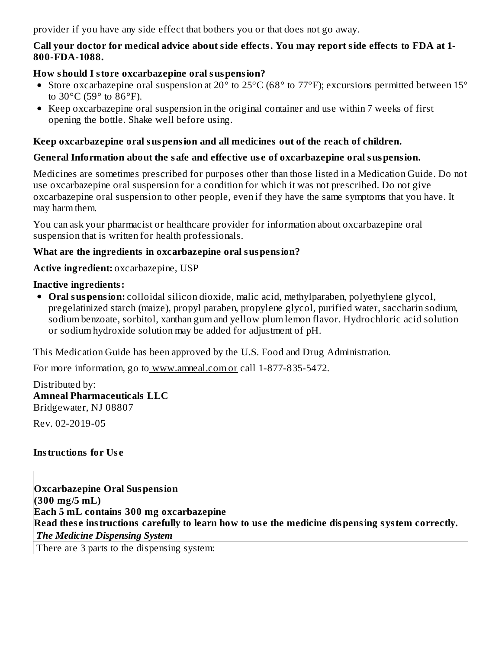provider if you have any side effect that bothers you or that does not go away.

### **Call your doctor for medical advice about side effects. You may report side effects to FDA at 1- 800-FDA-1088.**

### **How should I store oxcarbazepine oral suspension?**

- Store oxcarbazepine oral suspension at 20° to 25°C (68° to 77°F); excursions permitted between 15° to  $30^{\circ}$ C (59 $^{\circ}$  to  $86^{\circ}$ F).
- Keep oxcarbazepine oral suspension in the original container and use within 7 weeks of first opening the bottle. Shake well before using.

### **Keep oxcarbazepine oral suspension and all medicines out of the reach of children.**

### **General Information about the safe and effective us e of oxcarbazepine oral suspension.**

Medicines are sometimes prescribed for purposes other than those listed in a Medication Guide. Do not use oxcarbazepine oral suspension for a condition for which it was not prescribed. Do not give oxcarbazepine oral suspension to other people, even if they have the same symptoms that you have. It may harm them.

You can ask your pharmacist or healthcare provider for information about oxcarbazepine oral suspension that is written for health professionals.

### **What are the ingredients in oxcarbazepine oral suspension?**

**Active ingredient:** oxcarbazepine, USP

### **Inactive ingredients:**

**Oral suspension:** colloidal silicon dioxide, malic acid, methylparaben, polyethylene glycol, pregelatinized starch (maize), propyl paraben, propylene glycol, purified water, saccharin sodium, sodium benzoate, sorbitol, xanthan gum and yellow plum lemon flavor. Hydrochloric acid solution or sodium hydroxide solution may be added for adjustment of pH.

This Medication Guide has been approved by the U.S. Food and Drug Administration.

For more information, go to www.amneal.com or call 1-877-835-5472.

Distributed by: **Amneal Pharmaceuticals LLC** Bridgewater, NJ 08807

Rev. 02-2019-05

## **Instructions for Us e**

**Oxcarbazepine Oral Suspension (300 mg/5 mL) Each 5 mL contains 300 mg oxcarbazepine Read thes e instructions carefully to learn how to us e the medicine dispensing system correctly.** *The Medicine Dispensing System* There are 3 parts to the dispensing system: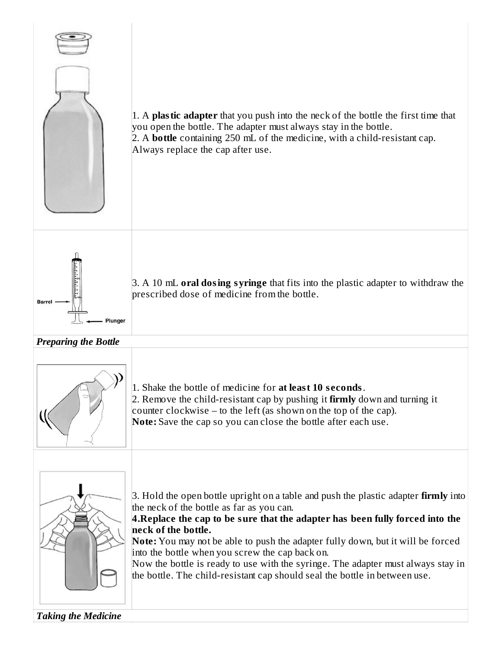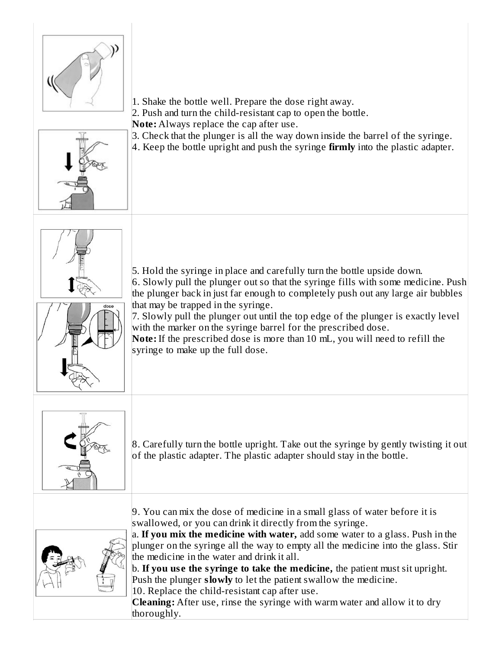

1. Shake the bottle well. Prepare the dose right away.

2. Push and turn the child-resistant cap to open the bottle.

**Note:** Always replace the cap after use.

3. Check that the plunger is all the way down inside the barrel of the syringe.







5. Hold the syringe in place and carefully turn the bottle upside down. 6. Slowly pull the plunger out so that the syringe fills with some medicine. Push the plunger back in just far enough to completely push out any large air bubbles that may be trapped in the syringe.

7. Slowly pull the plunger out until the top edge of the plunger is exactly level with the marker on the syringe barrel for the prescribed dose.

**Note:** If the prescribed dose is more than 10 mL, you will need to refill the syringe to make up the full dose.



8. Carefully turn the bottle upright. Take out the syringe by gently twisting it out of the plastic adapter. The plastic adapter should stay in the bottle.



9. You can mix the dose of medicine in a small glass of water before it is swallowed, or you can drink it directly from the syringe.

a. **If you mix the medicine with water,** add some water to a glass. Push in the plunger on the syringe all the way to empty all the medicine into the glass. Stir the medicine in the water and drink it all.

b. **If you us e the syringe to take the medicine,** the patient must sit upright. Push the plunger **slowly** to let the patient swallow the medicine. 10. Replace the child-resistant cap after use.

**Cleaning:** After use, rinse the syringe with warm water and allow it to dry thoroughly.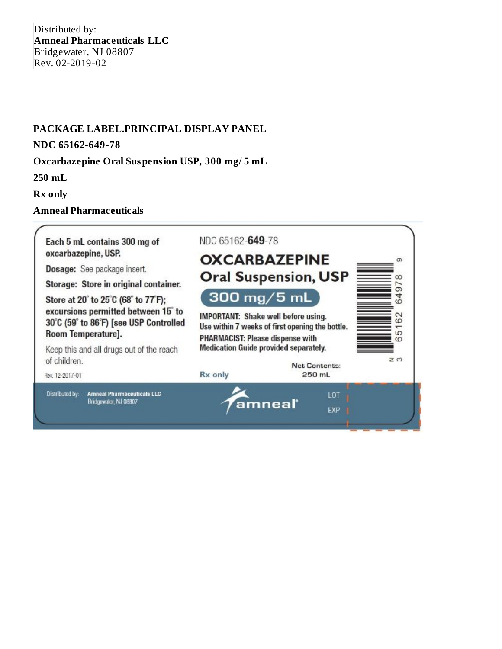### **PACKAGE LABEL.PRINCIPAL DISPLAY PANEL**

#### **NDC 65162-649-78**

### **Oxcarbazepine Oral Suspension USP, 300 mg/ 5 mL**

**250 mL**

**Rx only**

### **Amneal Pharmaceuticals**

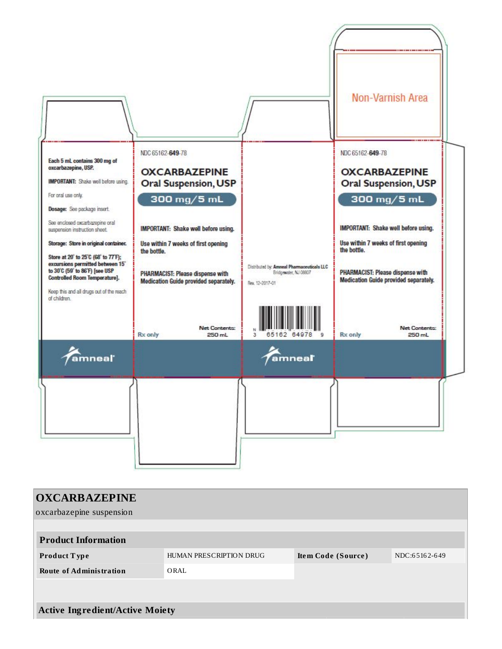

| <b>OXCARBAZEPINE</b><br>oxcarbazepine suspension |                         |                    |               |
|--------------------------------------------------|-------------------------|--------------------|---------------|
| <b>Product Information</b>                       |                         |                    |               |
| <b>Product Type</b>                              | HUMAN PRESCRIPTION DRUG | Item Code (Source) | NDC:65162-649 |
| <b>Route of Administration</b>                   | ORAL                    |                    |               |
|                                                  |                         |                    |               |
| <b>Active Ingredient/Active Moiety</b>           |                         |                    |               |